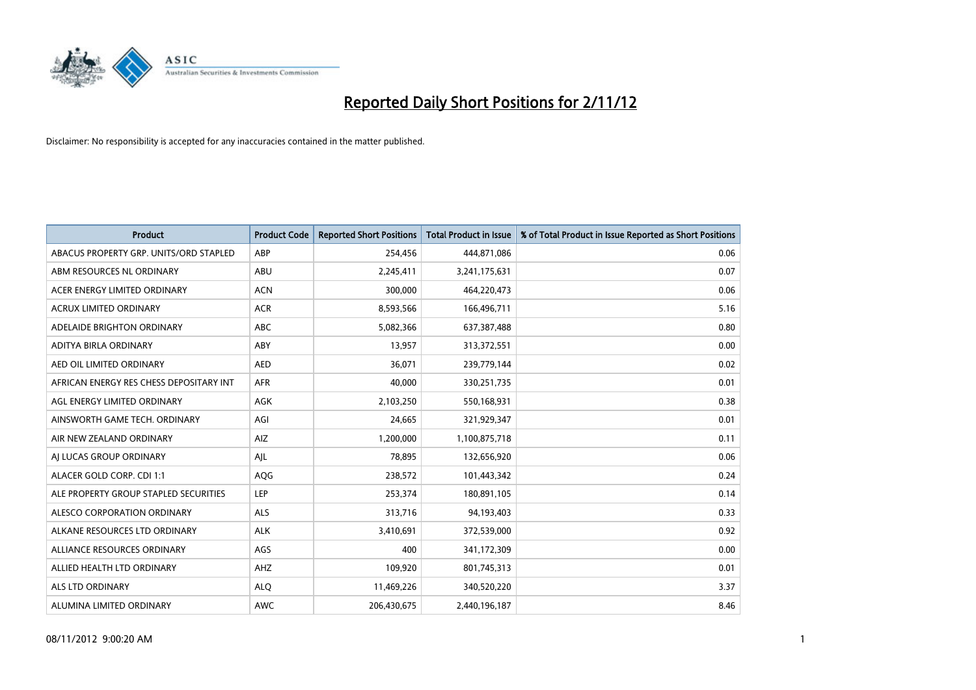

| <b>Product</b>                          | <b>Product Code</b> | <b>Reported Short Positions</b> | <b>Total Product in Issue</b> | % of Total Product in Issue Reported as Short Positions |
|-----------------------------------------|---------------------|---------------------------------|-------------------------------|---------------------------------------------------------|
| ABACUS PROPERTY GRP. UNITS/ORD STAPLED  | ABP                 | 254,456                         | 444,871,086                   | 0.06                                                    |
| ABM RESOURCES NL ORDINARY               | ABU                 | 2,245,411                       | 3,241,175,631                 | 0.07                                                    |
| ACER ENERGY LIMITED ORDINARY            | <b>ACN</b>          | 300,000                         | 464,220,473                   | 0.06                                                    |
| ACRUX LIMITED ORDINARY                  | <b>ACR</b>          | 8,593,566                       | 166,496,711                   | 5.16                                                    |
| ADELAIDE BRIGHTON ORDINARY              | <b>ABC</b>          | 5,082,366                       | 637,387,488                   | 0.80                                                    |
| ADITYA BIRLA ORDINARY                   | ABY                 | 13,957                          | 313,372,551                   | 0.00                                                    |
| AED OIL LIMITED ORDINARY                | <b>AED</b>          | 36.071                          | 239,779,144                   | 0.02                                                    |
| AFRICAN ENERGY RES CHESS DEPOSITARY INT | <b>AFR</b>          | 40.000                          | 330,251,735                   | 0.01                                                    |
| AGL ENERGY LIMITED ORDINARY             | AGK                 | 2,103,250                       | 550,168,931                   | 0.38                                                    |
| AINSWORTH GAME TECH. ORDINARY           | AGI                 | 24,665                          | 321,929,347                   | 0.01                                                    |
| AIR NEW ZEALAND ORDINARY                | AIZ                 | 1,200,000                       | 1,100,875,718                 | 0.11                                                    |
| AI LUCAS GROUP ORDINARY                 | AJL                 | 78,895                          | 132,656,920                   | 0.06                                                    |
| ALACER GOLD CORP. CDI 1:1               | AQG                 | 238,572                         | 101,443,342                   | 0.24                                                    |
| ALE PROPERTY GROUP STAPLED SECURITIES   | LEP                 | 253,374                         | 180,891,105                   | 0.14                                                    |
| ALESCO CORPORATION ORDINARY             | ALS                 | 313,716                         | 94,193,403                    | 0.33                                                    |
| ALKANE RESOURCES LTD ORDINARY           | <b>ALK</b>          | 3,410,691                       | 372,539,000                   | 0.92                                                    |
| ALLIANCE RESOURCES ORDINARY             | AGS                 | 400                             | 341,172,309                   | 0.00                                                    |
| ALLIED HEALTH LTD ORDINARY              | AHZ                 | 109,920                         | 801,745,313                   | 0.01                                                    |
| <b>ALS LTD ORDINARY</b>                 | <b>ALO</b>          | 11,469,226                      | 340,520,220                   | 3.37                                                    |
| ALUMINA LIMITED ORDINARY                | <b>AWC</b>          | 206,430,675                     | 2,440,196,187                 | 8.46                                                    |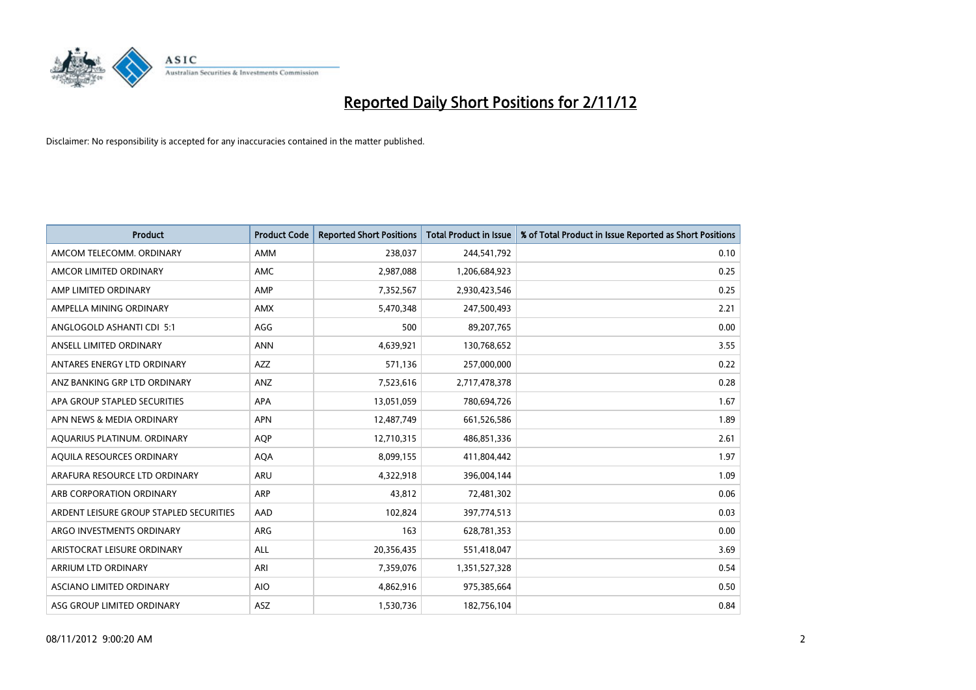

| <b>Product</b>                          | <b>Product Code</b> | <b>Reported Short Positions</b> | <b>Total Product in Issue</b> | % of Total Product in Issue Reported as Short Positions |
|-----------------------------------------|---------------------|---------------------------------|-------------------------------|---------------------------------------------------------|
| AMCOM TELECOMM. ORDINARY                | AMM                 | 238,037                         | 244,541,792                   | 0.10                                                    |
| AMCOR LIMITED ORDINARY                  | <b>AMC</b>          | 2,987,088                       | 1,206,684,923                 | 0.25                                                    |
| AMP LIMITED ORDINARY                    | <b>AMP</b>          | 7,352,567                       | 2,930,423,546                 | 0.25                                                    |
| AMPELLA MINING ORDINARY                 | <b>AMX</b>          | 5,470,348                       | 247,500,493                   | 2.21                                                    |
| ANGLOGOLD ASHANTI CDI 5:1               | AGG                 | 500                             | 89,207,765                    | 0.00                                                    |
| ANSELL LIMITED ORDINARY                 | <b>ANN</b>          | 4,639,921                       | 130,768,652                   | 3.55                                                    |
| ANTARES ENERGY LTD ORDINARY             | AZZ                 | 571.136                         | 257,000,000                   | 0.22                                                    |
| ANZ BANKING GRP LTD ORDINARY            | ANZ                 | 7,523,616                       | 2,717,478,378                 | 0.28                                                    |
| APA GROUP STAPLED SECURITIES            | APA                 | 13,051,059                      | 780,694,726                   | 1.67                                                    |
| APN NEWS & MEDIA ORDINARY               | <b>APN</b>          | 12,487,749                      | 661,526,586                   | 1.89                                                    |
| AQUARIUS PLATINUM. ORDINARY             | <b>AQP</b>          | 12,710,315                      | 486,851,336                   | 2.61                                                    |
| AQUILA RESOURCES ORDINARY               | <b>AQA</b>          | 8,099,155                       | 411,804,442                   | 1.97                                                    |
| ARAFURA RESOURCE LTD ORDINARY           | ARU                 | 4,322,918                       | 396,004,144                   | 1.09                                                    |
| ARB CORPORATION ORDINARY                | ARP                 | 43,812                          | 72,481,302                    | 0.06                                                    |
| ARDENT LEISURE GROUP STAPLED SECURITIES | AAD                 | 102,824                         | 397,774,513                   | 0.03                                                    |
| ARGO INVESTMENTS ORDINARY               | ARG                 | 163                             | 628,781,353                   | 0.00                                                    |
| ARISTOCRAT LEISURE ORDINARY             | <b>ALL</b>          | 20,356,435                      | 551,418,047                   | 3.69                                                    |
| ARRIUM LTD ORDINARY                     | ARI                 | 7,359,076                       | 1,351,527,328                 | 0.54                                                    |
| <b>ASCIANO LIMITED ORDINARY</b>         | <b>AIO</b>          | 4,862,916                       | 975,385,664                   | 0.50                                                    |
| ASG GROUP LIMITED ORDINARY              | <b>ASZ</b>          | 1,530,736                       | 182,756,104                   | 0.84                                                    |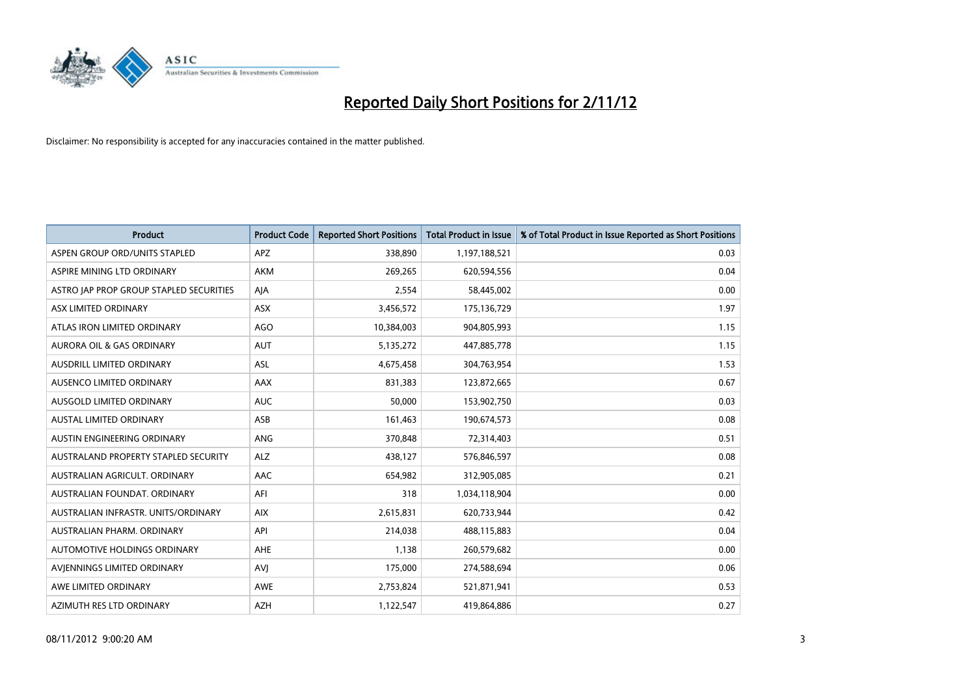

| <b>Product</b>                              | <b>Product Code</b> | <b>Reported Short Positions</b> | <b>Total Product in Issue</b> | % of Total Product in Issue Reported as Short Positions |
|---------------------------------------------|---------------------|---------------------------------|-------------------------------|---------------------------------------------------------|
| ASPEN GROUP ORD/UNITS STAPLED               | <b>APZ</b>          | 338,890                         | 1,197,188,521                 | 0.03                                                    |
| ASPIRE MINING LTD ORDINARY                  | <b>AKM</b>          | 269,265                         | 620,594,556                   | 0.04                                                    |
| ASTRO JAP PROP GROUP STAPLED SECURITIES     | AJA                 | 2,554                           | 58,445,002                    | 0.00                                                    |
| ASX LIMITED ORDINARY                        | ASX                 | 3,456,572                       | 175,136,729                   | 1.97                                                    |
| ATLAS IRON LIMITED ORDINARY                 | AGO                 | 10,384,003                      | 904,805,993                   | 1.15                                                    |
| <b>AURORA OIL &amp; GAS ORDINARY</b>        | <b>AUT</b>          | 5,135,272                       | 447,885,778                   | 1.15                                                    |
| AUSDRILL LIMITED ORDINARY                   | <b>ASL</b>          | 4,675,458                       | 304,763,954                   | 1.53                                                    |
| AUSENCO LIMITED ORDINARY                    | AAX                 | 831,383                         | 123,872,665                   | 0.67                                                    |
| AUSGOLD LIMITED ORDINARY                    | <b>AUC</b>          | 50,000                          | 153,902,750                   | 0.03                                                    |
| <b>AUSTAL LIMITED ORDINARY</b>              | ASB                 | 161,463                         | 190,674,573                   | 0.08                                                    |
| AUSTIN ENGINEERING ORDINARY                 | ANG                 | 370,848                         | 72,314,403                    | 0.51                                                    |
| <b>AUSTRALAND PROPERTY STAPLED SECURITY</b> | <b>ALZ</b>          | 438,127                         | 576,846,597                   | 0.08                                                    |
| AUSTRALIAN AGRICULT. ORDINARY               | AAC                 | 654,982                         | 312,905,085                   | 0.21                                                    |
| AUSTRALIAN FOUNDAT. ORDINARY                | AFI                 | 318                             | 1,034,118,904                 | 0.00                                                    |
| AUSTRALIAN INFRASTR, UNITS/ORDINARY         | <b>AIX</b>          | 2,615,831                       | 620,733,944                   | 0.42                                                    |
| AUSTRALIAN PHARM. ORDINARY                  | API                 | 214,038                         | 488,115,883                   | 0.04                                                    |
| AUTOMOTIVE HOLDINGS ORDINARY                | AHE                 | 1,138                           | 260,579,682                   | 0.00                                                    |
| AVJENNINGS LIMITED ORDINARY                 | AVI                 | 175,000                         | 274,588,694                   | 0.06                                                    |
| AWE LIMITED ORDINARY                        | <b>AWE</b>          | 2,753,824                       | 521,871,941                   | 0.53                                                    |
| AZIMUTH RES LTD ORDINARY                    | <b>AZH</b>          | 1,122,547                       | 419,864,886                   | 0.27                                                    |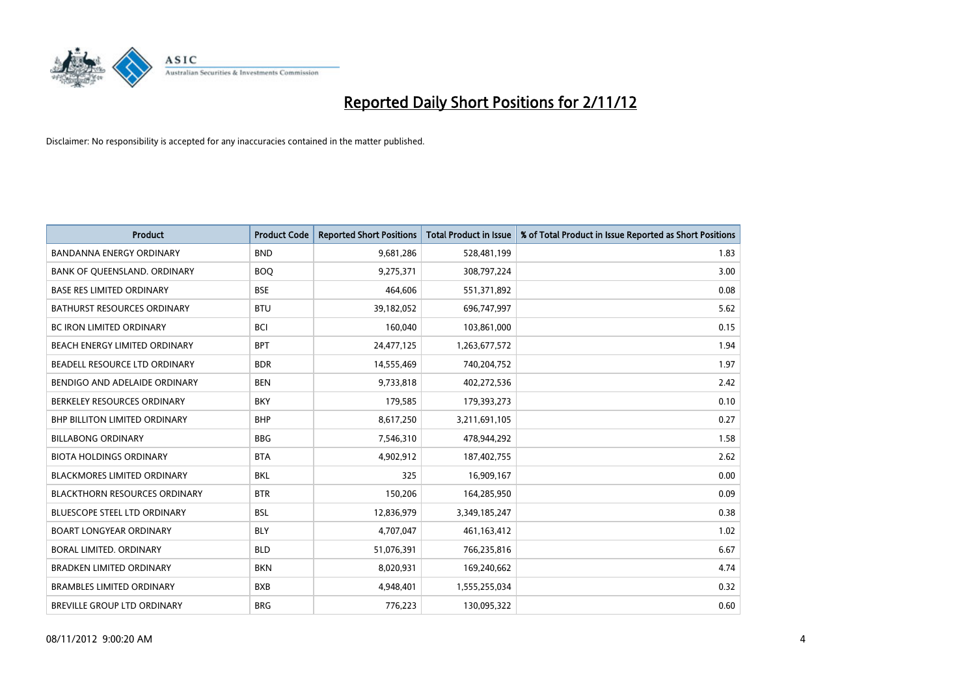

| <b>Product</b>                       | <b>Product Code</b> | <b>Reported Short Positions</b> | <b>Total Product in Issue</b> | % of Total Product in Issue Reported as Short Positions |
|--------------------------------------|---------------------|---------------------------------|-------------------------------|---------------------------------------------------------|
| <b>BANDANNA ENERGY ORDINARY</b>      | <b>BND</b>          | 9,681,286                       | 528,481,199                   | 1.83                                                    |
| BANK OF QUEENSLAND. ORDINARY         | <b>BOQ</b>          | 9,275,371                       | 308,797,224                   | 3.00                                                    |
| <b>BASE RES LIMITED ORDINARY</b>     | <b>BSE</b>          | 464,606                         | 551,371,892                   | 0.08                                                    |
| BATHURST RESOURCES ORDINARY          | <b>BTU</b>          | 39,182,052                      | 696,747,997                   | 5.62                                                    |
| <b>BC IRON LIMITED ORDINARY</b>      | <b>BCI</b>          | 160,040                         | 103,861,000                   | 0.15                                                    |
| BEACH ENERGY LIMITED ORDINARY        | <b>BPT</b>          | 24,477,125                      | 1,263,677,572                 | 1.94                                                    |
| BEADELL RESOURCE LTD ORDINARY        | <b>BDR</b>          | 14,555,469                      | 740,204,752                   | 1.97                                                    |
| BENDIGO AND ADELAIDE ORDINARY        | <b>BEN</b>          | 9,733,818                       | 402,272,536                   | 2.42                                                    |
| BERKELEY RESOURCES ORDINARY          | <b>BKY</b>          | 179,585                         | 179,393,273                   | 0.10                                                    |
| <b>BHP BILLITON LIMITED ORDINARY</b> | <b>BHP</b>          | 8,617,250                       | 3,211,691,105                 | 0.27                                                    |
| <b>BILLABONG ORDINARY</b>            | <b>BBG</b>          | 7,546,310                       | 478,944,292                   | 1.58                                                    |
| <b>BIOTA HOLDINGS ORDINARY</b>       | <b>BTA</b>          | 4,902,912                       | 187,402,755                   | 2.62                                                    |
| <b>BLACKMORES LIMITED ORDINARY</b>   | <b>BKL</b>          | 325                             | 16,909,167                    | 0.00                                                    |
| <b>BLACKTHORN RESOURCES ORDINARY</b> | <b>BTR</b>          | 150,206                         | 164,285,950                   | 0.09                                                    |
| <b>BLUESCOPE STEEL LTD ORDINARY</b>  | <b>BSL</b>          | 12,836,979                      | 3,349,185,247                 | 0.38                                                    |
| <b>BOART LONGYEAR ORDINARY</b>       | <b>BLY</b>          | 4,707,047                       | 461,163,412                   | 1.02                                                    |
| BORAL LIMITED, ORDINARY              | <b>BLD</b>          | 51,076,391                      | 766,235,816                   | 6.67                                                    |
| BRADKEN LIMITED ORDINARY             | <b>BKN</b>          | 8,020,931                       | 169,240,662                   | 4.74                                                    |
| <b>BRAMBLES LIMITED ORDINARY</b>     | <b>BXB</b>          | 4,948,401                       | 1,555,255,034                 | 0.32                                                    |
| <b>BREVILLE GROUP LTD ORDINARY</b>   | <b>BRG</b>          | 776.223                         | 130,095,322                   | 0.60                                                    |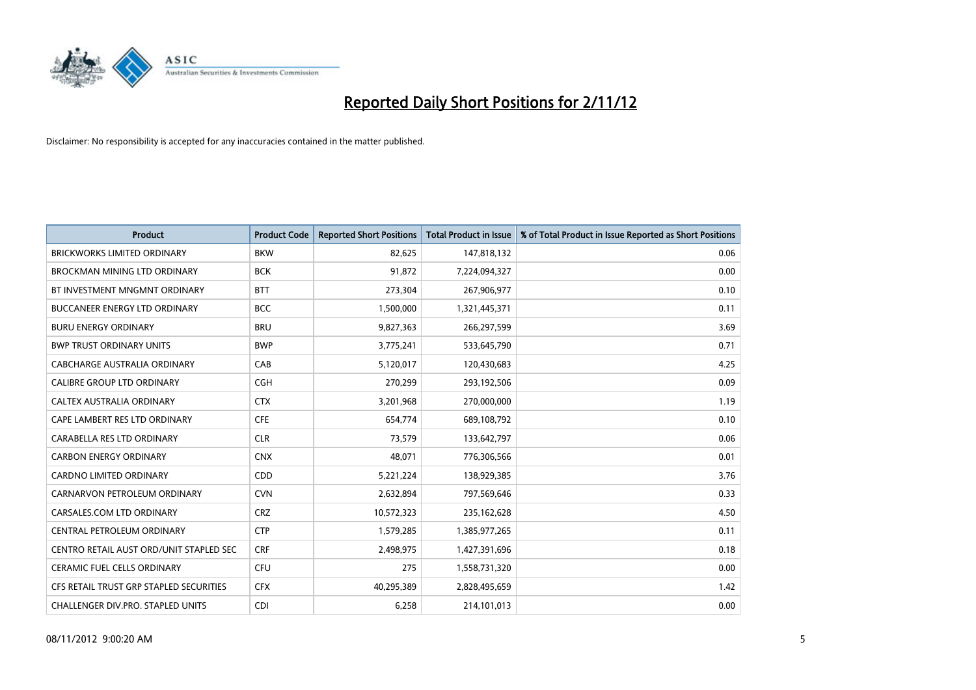

| <b>Product</b>                          | <b>Product Code</b> | <b>Reported Short Positions</b> | <b>Total Product in Issue</b> | % of Total Product in Issue Reported as Short Positions |
|-----------------------------------------|---------------------|---------------------------------|-------------------------------|---------------------------------------------------------|
| <b>BRICKWORKS LIMITED ORDINARY</b>      | <b>BKW</b>          | 82,625                          | 147,818,132                   | 0.06                                                    |
| BROCKMAN MINING LTD ORDINARY            | <b>BCK</b>          | 91,872                          | 7,224,094,327                 | 0.00                                                    |
| BT INVESTMENT MNGMNT ORDINARY           | <b>BTT</b>          | 273,304                         | 267,906,977                   | 0.10                                                    |
| BUCCANEER ENERGY LTD ORDINARY           | <b>BCC</b>          | 1,500,000                       | 1,321,445,371                 | 0.11                                                    |
| <b>BURU ENERGY ORDINARY</b>             | <b>BRU</b>          | 9,827,363                       | 266,297,599                   | 3.69                                                    |
| <b>BWP TRUST ORDINARY UNITS</b>         | <b>BWP</b>          | 3,775,241                       | 533,645,790                   | 0.71                                                    |
| CABCHARGE AUSTRALIA ORDINARY            | CAB                 | 5,120,017                       | 120,430,683                   | 4.25                                                    |
| CALIBRE GROUP LTD ORDINARY              | <b>CGH</b>          | 270,299                         | 293,192,506                   | 0.09                                                    |
| CALTEX AUSTRALIA ORDINARY               | <b>CTX</b>          | 3,201,968                       | 270,000,000                   | 1.19                                                    |
| CAPE LAMBERT RES LTD ORDINARY           | <b>CFE</b>          | 654,774                         | 689,108,792                   | 0.10                                                    |
| CARABELLA RES LTD ORDINARY              | <b>CLR</b>          | 73,579                          | 133,642,797                   | 0.06                                                    |
| <b>CARBON ENERGY ORDINARY</b>           | <b>CNX</b>          | 48,071                          | 776,306,566                   | 0.01                                                    |
| <b>CARDNO LIMITED ORDINARY</b>          | <b>CDD</b>          | 5,221,224                       | 138,929,385                   | 3.76                                                    |
| CARNARVON PETROLEUM ORDINARY            | <b>CVN</b>          | 2,632,894                       | 797,569,646                   | 0.33                                                    |
| CARSALES.COM LTD ORDINARY               | <b>CRZ</b>          | 10,572,323                      | 235,162,628                   | 4.50                                                    |
| CENTRAL PETROLEUM ORDINARY              | <b>CTP</b>          | 1,579,285                       | 1,385,977,265                 | 0.11                                                    |
| CENTRO RETAIL AUST ORD/UNIT STAPLED SEC | <b>CRF</b>          | 2,498,975                       | 1,427,391,696                 | 0.18                                                    |
| CERAMIC FUEL CELLS ORDINARY             | CFU                 | 275                             | 1,558,731,320                 | 0.00                                                    |
| CFS RETAIL TRUST GRP STAPLED SECURITIES | <b>CFX</b>          | 40,295,389                      | 2,828,495,659                 | 1.42                                                    |
| CHALLENGER DIV.PRO. STAPLED UNITS       | <b>CDI</b>          | 6,258                           | 214,101,013                   | 0.00                                                    |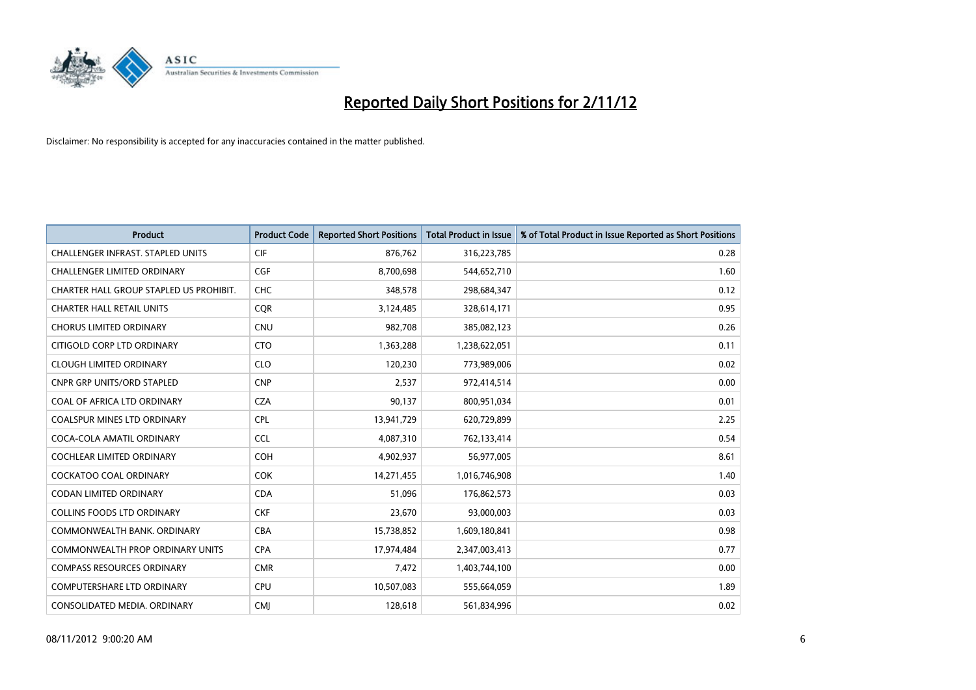

| <b>Product</b>                           | <b>Product Code</b> | <b>Reported Short Positions</b> | <b>Total Product in Issue</b> | % of Total Product in Issue Reported as Short Positions |
|------------------------------------------|---------------------|---------------------------------|-------------------------------|---------------------------------------------------------|
| <b>CHALLENGER INFRAST, STAPLED UNITS</b> | <b>CIF</b>          | 876,762                         | 316,223,785                   | 0.28                                                    |
| <b>CHALLENGER LIMITED ORDINARY</b>       | <b>CGF</b>          | 8.700.698                       | 544,652,710                   | 1.60                                                    |
| CHARTER HALL GROUP STAPLED US PROHIBIT.  | <b>CHC</b>          | 348,578                         | 298,684,347                   | 0.12                                                    |
| <b>CHARTER HALL RETAIL UNITS</b>         | <b>COR</b>          | 3,124,485                       | 328,614,171                   | 0.95                                                    |
| <b>CHORUS LIMITED ORDINARY</b>           | <b>CNU</b>          | 982,708                         | 385,082,123                   | 0.26                                                    |
| CITIGOLD CORP LTD ORDINARY               | <b>CTO</b>          | 1,363,288                       | 1,238,622,051                 | 0.11                                                    |
| <b>CLOUGH LIMITED ORDINARY</b>           | <b>CLO</b>          | 120.230                         | 773,989,006                   | 0.02                                                    |
| <b>CNPR GRP UNITS/ORD STAPLED</b>        | <b>CNP</b>          | 2,537                           | 972,414,514                   | 0.00                                                    |
| COAL OF AFRICA LTD ORDINARY              | <b>CZA</b>          | 90,137                          | 800,951,034                   | 0.01                                                    |
| <b>COALSPUR MINES LTD ORDINARY</b>       | <b>CPL</b>          | 13,941,729                      | 620,729,899                   | 2.25                                                    |
| COCA-COLA AMATIL ORDINARY                | <b>CCL</b>          | 4,087,310                       | 762,133,414                   | 0.54                                                    |
| <b>COCHLEAR LIMITED ORDINARY</b>         | <b>COH</b>          | 4,902,937                       | 56,977,005                    | 8.61                                                    |
| <b>COCKATOO COAL ORDINARY</b>            | <b>COK</b>          | 14,271,455                      | 1,016,746,908                 | 1.40                                                    |
| <b>CODAN LIMITED ORDINARY</b>            | <b>CDA</b>          | 51.096                          | 176,862,573                   | 0.03                                                    |
| <b>COLLINS FOODS LTD ORDINARY</b>        | <b>CKF</b>          | 23,670                          | 93,000,003                    | 0.03                                                    |
| COMMONWEALTH BANK, ORDINARY              | <b>CBA</b>          | 15,738,852                      | 1,609,180,841                 | 0.98                                                    |
| <b>COMMONWEALTH PROP ORDINARY UNITS</b>  | <b>CPA</b>          | 17,974,484                      | 2,347,003,413                 | 0.77                                                    |
| <b>COMPASS RESOURCES ORDINARY</b>        | <b>CMR</b>          | 7,472                           | 1,403,744,100                 | 0.00                                                    |
| <b>COMPUTERSHARE LTD ORDINARY</b>        | <b>CPU</b>          | 10,507,083                      | 555,664,059                   | 1.89                                                    |
| CONSOLIDATED MEDIA, ORDINARY             | <b>CMI</b>          | 128.618                         | 561,834,996                   | 0.02                                                    |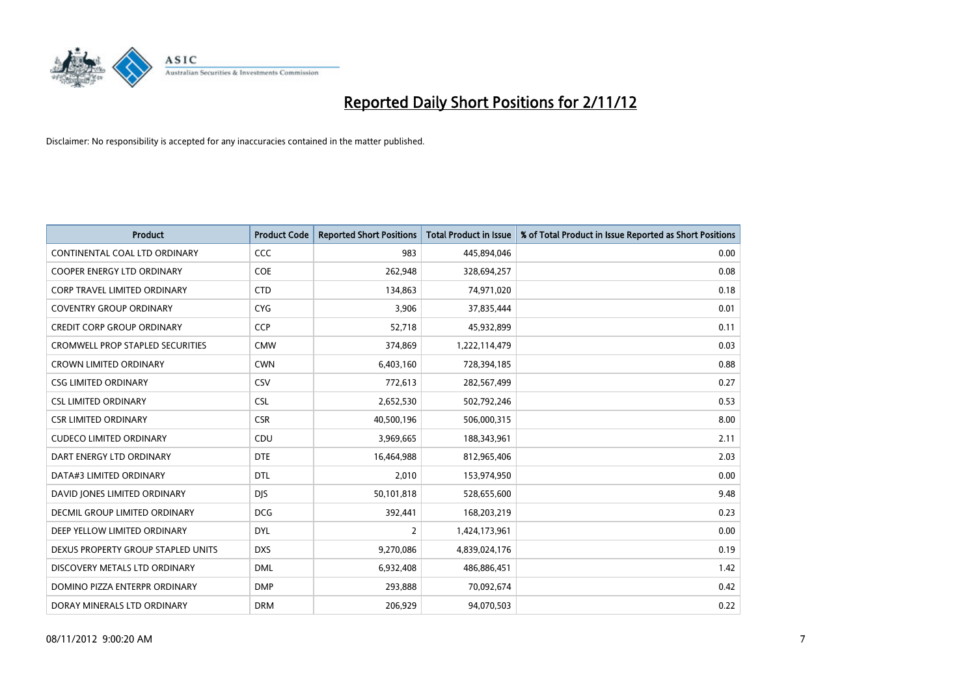

| <b>Product</b>                          | <b>Product Code</b> | <b>Reported Short Positions</b> | <b>Total Product in Issue</b> | % of Total Product in Issue Reported as Short Positions |
|-----------------------------------------|---------------------|---------------------------------|-------------------------------|---------------------------------------------------------|
| CONTINENTAL COAL LTD ORDINARY           | <b>CCC</b>          | 983                             | 445,894,046                   | 0.00                                                    |
| COOPER ENERGY LTD ORDINARY              | <b>COE</b>          | 262,948                         | 328,694,257                   | 0.08                                                    |
| <b>CORP TRAVEL LIMITED ORDINARY</b>     | <b>CTD</b>          | 134,863                         | 74,971,020                    | 0.18                                                    |
| <b>COVENTRY GROUP ORDINARY</b>          | <b>CYG</b>          | 3,906                           | 37,835,444                    | 0.01                                                    |
| <b>CREDIT CORP GROUP ORDINARY</b>       | <b>CCP</b>          | 52,718                          | 45,932,899                    | 0.11                                                    |
| <b>CROMWELL PROP STAPLED SECURITIES</b> | <b>CMW</b>          | 374,869                         | 1,222,114,479                 | 0.03                                                    |
| <b>CROWN LIMITED ORDINARY</b>           | <b>CWN</b>          | 6,403,160                       | 728,394,185                   | 0.88                                                    |
| <b>CSG LIMITED ORDINARY</b>             | CSV                 | 772,613                         | 282,567,499                   | 0.27                                                    |
| <b>CSL LIMITED ORDINARY</b>             | <b>CSL</b>          | 2,652,530                       | 502,792,246                   | 0.53                                                    |
| <b>CSR LIMITED ORDINARY</b>             | <b>CSR</b>          | 40,500,196                      | 506,000,315                   | 8.00                                                    |
| <b>CUDECO LIMITED ORDINARY</b>          | CDU                 | 3,969,665                       | 188,343,961                   | 2.11                                                    |
| DART ENERGY LTD ORDINARY                | <b>DTE</b>          | 16,464,988                      | 812,965,406                   | 2.03                                                    |
| DATA#3 LIMITED ORDINARY                 | <b>DTL</b>          | 2,010                           | 153,974,950                   | 0.00                                                    |
| DAVID JONES LIMITED ORDINARY            | <b>DJS</b>          | 50,101,818                      | 528,655,600                   | 9.48                                                    |
| DECMIL GROUP LIMITED ORDINARY           | <b>DCG</b>          | 392,441                         | 168,203,219                   | 0.23                                                    |
| DEEP YELLOW LIMITED ORDINARY            | <b>DYL</b>          | 2                               | 1,424,173,961                 | 0.00                                                    |
| DEXUS PROPERTY GROUP STAPLED UNITS      | <b>DXS</b>          | 9,270,086                       | 4,839,024,176                 | 0.19                                                    |
| DISCOVERY METALS LTD ORDINARY           | <b>DML</b>          | 6,932,408                       | 486,886,451                   | 1.42                                                    |
| DOMINO PIZZA ENTERPR ORDINARY           | <b>DMP</b>          | 293,888                         | 70,092,674                    | 0.42                                                    |
| DORAY MINERALS LTD ORDINARY             | <b>DRM</b>          | 206.929                         | 94,070,503                    | 0.22                                                    |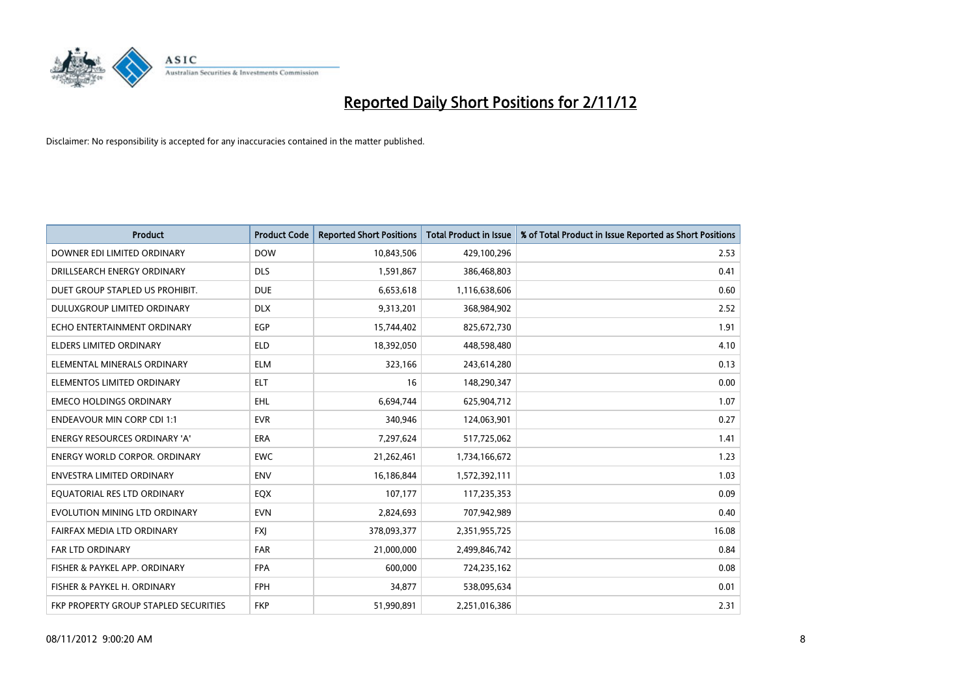

| <b>Product</b>                               | <b>Product Code</b> | <b>Reported Short Positions</b> | <b>Total Product in Issue</b> | % of Total Product in Issue Reported as Short Positions |
|----------------------------------------------|---------------------|---------------------------------|-------------------------------|---------------------------------------------------------|
| DOWNER EDI LIMITED ORDINARY                  | <b>DOW</b>          | 10,843,506                      | 429,100,296                   | 2.53                                                    |
| DRILLSEARCH ENERGY ORDINARY                  | <b>DLS</b>          | 1,591,867                       | 386,468,803                   | 0.41                                                    |
| DUET GROUP STAPLED US PROHIBIT.              | <b>DUE</b>          | 6,653,618                       | 1,116,638,606                 | 0.60                                                    |
| DULUXGROUP LIMITED ORDINARY                  | <b>DLX</b>          | 9,313,201                       | 368,984,902                   | 2.52                                                    |
| ECHO ENTERTAINMENT ORDINARY                  | EGP                 | 15,744,402                      | 825,672,730                   | 1.91                                                    |
| <b>ELDERS LIMITED ORDINARY</b>               | <b>ELD</b>          | 18,392,050                      | 448,598,480                   | 4.10                                                    |
| ELEMENTAL MINERALS ORDINARY                  | <b>ELM</b>          | 323,166                         | 243,614,280                   | 0.13                                                    |
| ELEMENTOS LIMITED ORDINARY                   | <b>ELT</b>          | 16                              | 148,290,347                   | 0.00                                                    |
| <b>EMECO HOLDINGS ORDINARY</b>               | <b>EHL</b>          | 6,694,744                       | 625,904,712                   | 1.07                                                    |
| <b>ENDEAVOUR MIN CORP CDI 1:1</b>            | <b>EVR</b>          | 340,946                         | 124,063,901                   | 0.27                                                    |
| <b>ENERGY RESOURCES ORDINARY 'A'</b>         | <b>ERA</b>          | 7,297,624                       | 517,725,062                   | 1.41                                                    |
| <b>ENERGY WORLD CORPOR, ORDINARY</b>         | <b>EWC</b>          | 21,262,461                      | 1,734,166,672                 | 1.23                                                    |
| <b>ENVESTRA LIMITED ORDINARY</b>             | <b>ENV</b>          | 16,186,844                      | 1,572,392,111                 | 1.03                                                    |
| EQUATORIAL RES LTD ORDINARY                  | <b>EQX</b>          | 107,177                         | 117,235,353                   | 0.09                                                    |
| EVOLUTION MINING LTD ORDINARY                | <b>EVN</b>          | 2,824,693                       | 707,942,989                   | 0.40                                                    |
| FAIRFAX MEDIA LTD ORDINARY                   | <b>FXI</b>          | 378,093,377                     | 2,351,955,725                 | 16.08                                                   |
| <b>FAR LTD ORDINARY</b>                      | <b>FAR</b>          | 21,000,000                      | 2,499,846,742                 | 0.84                                                    |
| FISHER & PAYKEL APP. ORDINARY                | <b>FPA</b>          | 600,000                         | 724,235,162                   | 0.08                                                    |
| FISHER & PAYKEL H. ORDINARY                  | <b>FPH</b>          | 34,877                          | 538,095,634                   | 0.01                                                    |
| <b>FKP PROPERTY GROUP STAPLED SECURITIES</b> | <b>FKP</b>          | 51,990,891                      | 2,251,016,386                 | 2.31                                                    |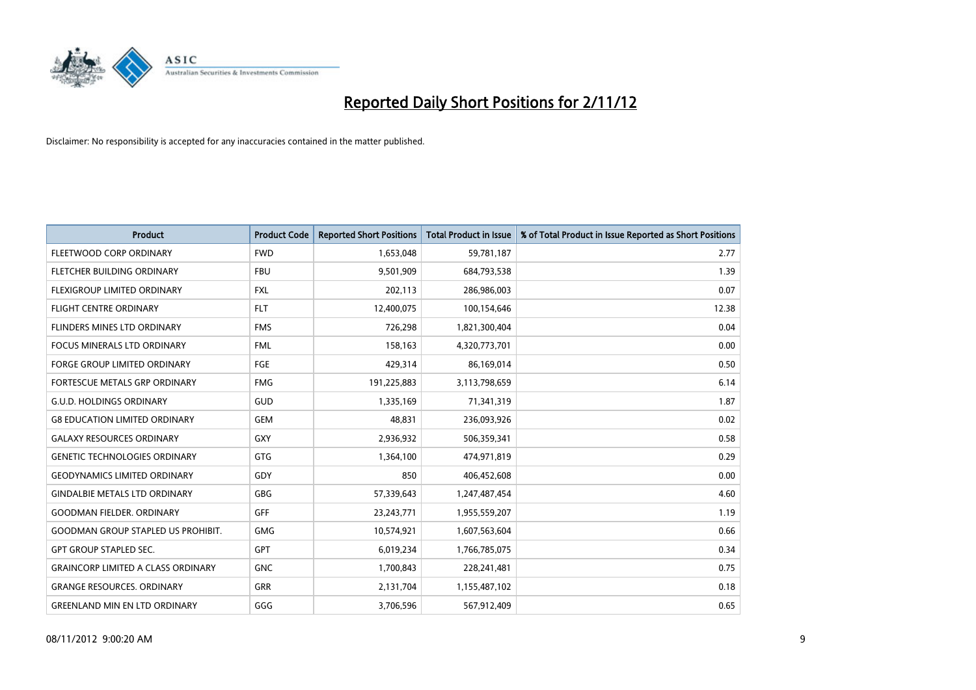

| <b>Product</b>                            | <b>Product Code</b> | <b>Reported Short Positions</b> | <b>Total Product in Issue</b> | % of Total Product in Issue Reported as Short Positions |
|-------------------------------------------|---------------------|---------------------------------|-------------------------------|---------------------------------------------------------|
| FLEETWOOD CORP ORDINARY                   | <b>FWD</b>          | 1,653,048                       | 59,781,187                    | 2.77                                                    |
| FLETCHER BUILDING ORDINARY                | <b>FBU</b>          | 9,501,909                       | 684,793,538                   | 1.39                                                    |
| <b>FLEXIGROUP LIMITED ORDINARY</b>        | <b>FXL</b>          | 202,113                         | 286,986,003                   | 0.07                                                    |
| FLIGHT CENTRE ORDINARY                    | <b>FLT</b>          | 12,400,075                      | 100,154,646                   | 12.38                                                   |
| FLINDERS MINES LTD ORDINARY               | <b>FMS</b>          | 726,298                         | 1,821,300,404                 | 0.04                                                    |
| <b>FOCUS MINERALS LTD ORDINARY</b>        | <b>FML</b>          | 158,163                         | 4,320,773,701                 | 0.00                                                    |
| <b>FORGE GROUP LIMITED ORDINARY</b>       | <b>FGE</b>          | 429,314                         | 86,169,014                    | 0.50                                                    |
| FORTESCUE METALS GRP ORDINARY             | <b>FMG</b>          | 191,225,883                     | 3,113,798,659                 | 6.14                                                    |
| <b>G.U.D. HOLDINGS ORDINARY</b>           | GUD                 | 1,335,169                       | 71,341,319                    | 1.87                                                    |
| <b>G8 EDUCATION LIMITED ORDINARY</b>      | <b>GEM</b>          | 48,831                          | 236,093,926                   | 0.02                                                    |
| <b>GALAXY RESOURCES ORDINARY</b>          | <b>GXY</b>          | 2,936,932                       | 506,359,341                   | 0.58                                                    |
| <b>GENETIC TECHNOLOGIES ORDINARY</b>      | <b>GTG</b>          | 1,364,100                       | 474,971,819                   | 0.29                                                    |
| <b>GEODYNAMICS LIMITED ORDINARY</b>       | GDY                 | 850                             | 406,452,608                   | 0.00                                                    |
| <b>GINDALBIE METALS LTD ORDINARY</b>      | <b>GBG</b>          | 57,339,643                      | 1,247,487,454                 | 4.60                                                    |
| <b>GOODMAN FIELDER, ORDINARY</b>          | GFF                 | 23,243,771                      | 1,955,559,207                 | 1.19                                                    |
| <b>GOODMAN GROUP STAPLED US PROHIBIT.</b> | <b>GMG</b>          | 10,574,921                      | 1,607,563,604                 | 0.66                                                    |
| <b>GPT GROUP STAPLED SEC.</b>             | <b>GPT</b>          | 6,019,234                       | 1,766,785,075                 | 0.34                                                    |
| <b>GRAINCORP LIMITED A CLASS ORDINARY</b> | <b>GNC</b>          | 1,700,843                       | 228,241,481                   | 0.75                                                    |
| <b>GRANGE RESOURCES. ORDINARY</b>         | <b>GRR</b>          | 2,131,704                       | 1,155,487,102                 | 0.18                                                    |
| <b>GREENLAND MIN EN LTD ORDINARY</b>      | GGG                 | 3,706,596                       | 567,912,409                   | 0.65                                                    |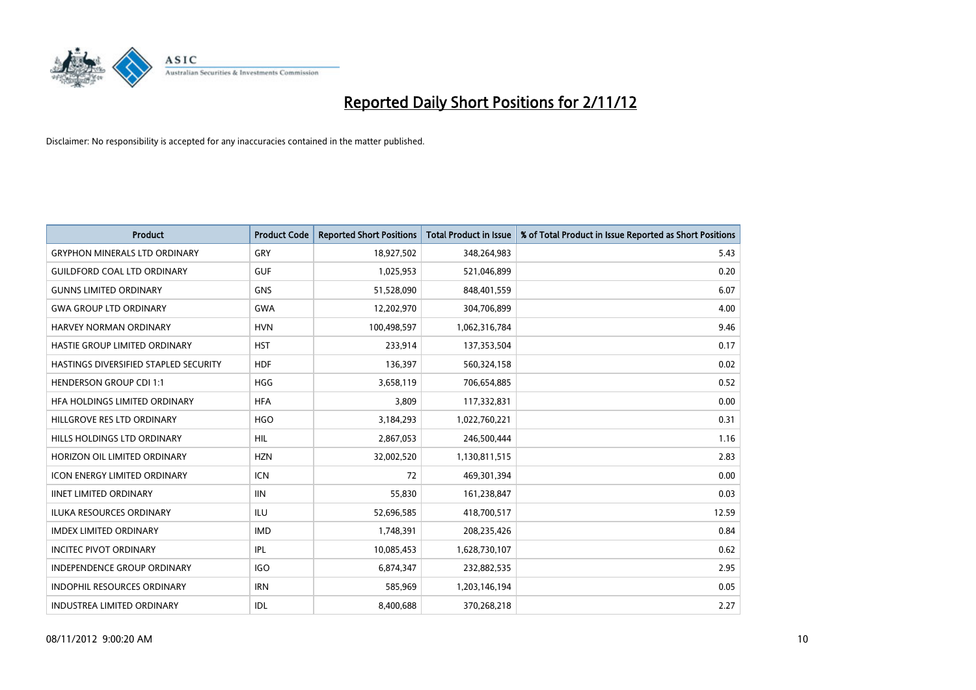

| <b>Product</b>                        | <b>Product Code</b> | <b>Reported Short Positions</b> | <b>Total Product in Issue</b> | % of Total Product in Issue Reported as Short Positions |
|---------------------------------------|---------------------|---------------------------------|-------------------------------|---------------------------------------------------------|
| <b>GRYPHON MINERALS LTD ORDINARY</b>  | GRY                 | 18,927,502                      | 348,264,983                   | 5.43                                                    |
| <b>GUILDFORD COAL LTD ORDINARY</b>    | <b>GUF</b>          | 1,025,953                       | 521,046,899                   | 0.20                                                    |
| <b>GUNNS LIMITED ORDINARY</b>         | <b>GNS</b>          | 51,528,090                      | 848,401,559                   | 6.07                                                    |
| <b>GWA GROUP LTD ORDINARY</b>         | <b>GWA</b>          | 12,202,970                      | 304,706,899                   | 4.00                                                    |
| HARVEY NORMAN ORDINARY                | <b>HVN</b>          | 100,498,597                     | 1,062,316,784                 | 9.46                                                    |
| HASTIE GROUP LIMITED ORDINARY         | <b>HST</b>          | 233,914                         | 137,353,504                   | 0.17                                                    |
| HASTINGS DIVERSIFIED STAPLED SECURITY | <b>HDF</b>          | 136,397                         | 560,324,158                   | 0.02                                                    |
| <b>HENDERSON GROUP CDI 1:1</b>        | <b>HGG</b>          | 3,658,119                       | 706,654,885                   | 0.52                                                    |
| HFA HOLDINGS LIMITED ORDINARY         | <b>HFA</b>          | 3,809                           | 117,332,831                   | 0.00                                                    |
| HILLGROVE RES LTD ORDINARY            | <b>HGO</b>          | 3,184,293                       | 1,022,760,221                 | 0.31                                                    |
| HILLS HOLDINGS LTD ORDINARY           | <b>HIL</b>          | 2,867,053                       | 246,500,444                   | 1.16                                                    |
| HORIZON OIL LIMITED ORDINARY          | <b>HZN</b>          | 32,002,520                      | 1,130,811,515                 | 2.83                                                    |
| ICON ENERGY LIMITED ORDINARY          | <b>ICN</b>          | 72                              | 469,301,394                   | 0.00                                                    |
| <b>IINET LIMITED ORDINARY</b>         | <b>IIN</b>          | 55,830                          | 161,238,847                   | 0.03                                                    |
| <b>ILUKA RESOURCES ORDINARY</b>       | <b>ILU</b>          | 52,696,585                      | 418,700,517                   | 12.59                                                   |
| <b>IMDEX LIMITED ORDINARY</b>         | <b>IMD</b>          | 1,748,391                       | 208,235,426                   | 0.84                                                    |
| <b>INCITEC PIVOT ORDINARY</b>         | <b>IPL</b>          | 10,085,453                      | 1,628,730,107                 | 0.62                                                    |
| INDEPENDENCE GROUP ORDINARY           | <b>IGO</b>          | 6,874,347                       | 232,882,535                   | 2.95                                                    |
| <b>INDOPHIL RESOURCES ORDINARY</b>    | <b>IRN</b>          | 585,969                         | 1,203,146,194                 | 0.05                                                    |
| <b>INDUSTREA LIMITED ORDINARY</b>     | IDL                 | 8.400.688                       | 370,268,218                   | 2.27                                                    |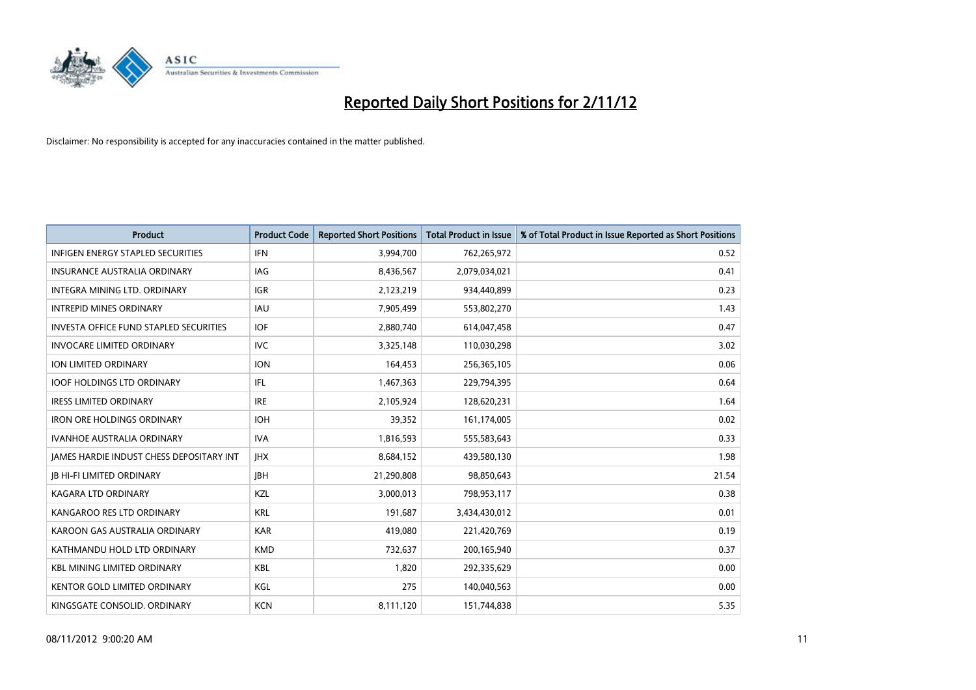

| <b>Product</b>                                  | <b>Product Code</b> | <b>Reported Short Positions</b> | <b>Total Product in Issue</b> | % of Total Product in Issue Reported as Short Positions |
|-------------------------------------------------|---------------------|---------------------------------|-------------------------------|---------------------------------------------------------|
| <b>INFIGEN ENERGY STAPLED SECURITIES</b>        | <b>IFN</b>          | 3,994,700                       | 762,265,972                   | 0.52                                                    |
| INSURANCE AUSTRALIA ORDINARY                    | IAG.                | 8,436,567                       | 2,079,034,021                 | 0.41                                                    |
| INTEGRA MINING LTD, ORDINARY                    | <b>IGR</b>          | 2,123,219                       | 934,440,899                   | 0.23                                                    |
| <b>INTREPID MINES ORDINARY</b>                  | <b>IAU</b>          | 7,905,499                       | 553,802,270                   | 1.43                                                    |
| <b>INVESTA OFFICE FUND STAPLED SECURITIES</b>   | <b>IOF</b>          | 2,880,740                       | 614,047,458                   | 0.47                                                    |
| <b>INVOCARE LIMITED ORDINARY</b>                | <b>IVC</b>          | 3,325,148                       | 110,030,298                   | 3.02                                                    |
| <b>ION LIMITED ORDINARY</b>                     | <b>ION</b>          | 164,453                         | 256,365,105                   | 0.06                                                    |
| <b>IOOF HOLDINGS LTD ORDINARY</b>               | <b>IFL</b>          | 1,467,363                       | 229,794,395                   | 0.64                                                    |
| <b>IRESS LIMITED ORDINARY</b>                   | <b>IRE</b>          | 2,105,924                       | 128,620,231                   | 1.64                                                    |
| <b>IRON ORE HOLDINGS ORDINARY</b>               | <b>IOH</b>          | 39,352                          | 161,174,005                   | 0.02                                                    |
| <b>IVANHOE AUSTRALIA ORDINARY</b>               | <b>IVA</b>          | 1,816,593                       | 555,583,643                   | 0.33                                                    |
| <b>JAMES HARDIE INDUST CHESS DEPOSITARY INT</b> | <b>IHX</b>          | 8,684,152                       | 439,580,130                   | 1.98                                                    |
| <b>IB HI-FI LIMITED ORDINARY</b>                | <b>IBH</b>          | 21,290,808                      | 98,850,643                    | 21.54                                                   |
| <b>KAGARA LTD ORDINARY</b>                      | <b>KZL</b>          | 3,000,013                       | 798,953,117                   | 0.38                                                    |
| KANGAROO RES LTD ORDINARY                       | <b>KRL</b>          | 191,687                         | 3,434,430,012                 | 0.01                                                    |
| KAROON GAS AUSTRALIA ORDINARY                   | <b>KAR</b>          | 419,080                         | 221,420,769                   | 0.19                                                    |
| KATHMANDU HOLD LTD ORDINARY                     | <b>KMD</b>          | 732,637                         | 200,165,940                   | 0.37                                                    |
| <b>KBL MINING LIMITED ORDINARY</b>              | <b>KBL</b>          | 1,820                           | 292,335,629                   | 0.00                                                    |
| <b>KENTOR GOLD LIMITED ORDINARY</b>             | KGL                 | 275                             | 140,040,563                   | 0.00                                                    |
| KINGSGATE CONSOLID. ORDINARY                    | <b>KCN</b>          | 8,111,120                       | 151,744,838                   | 5.35                                                    |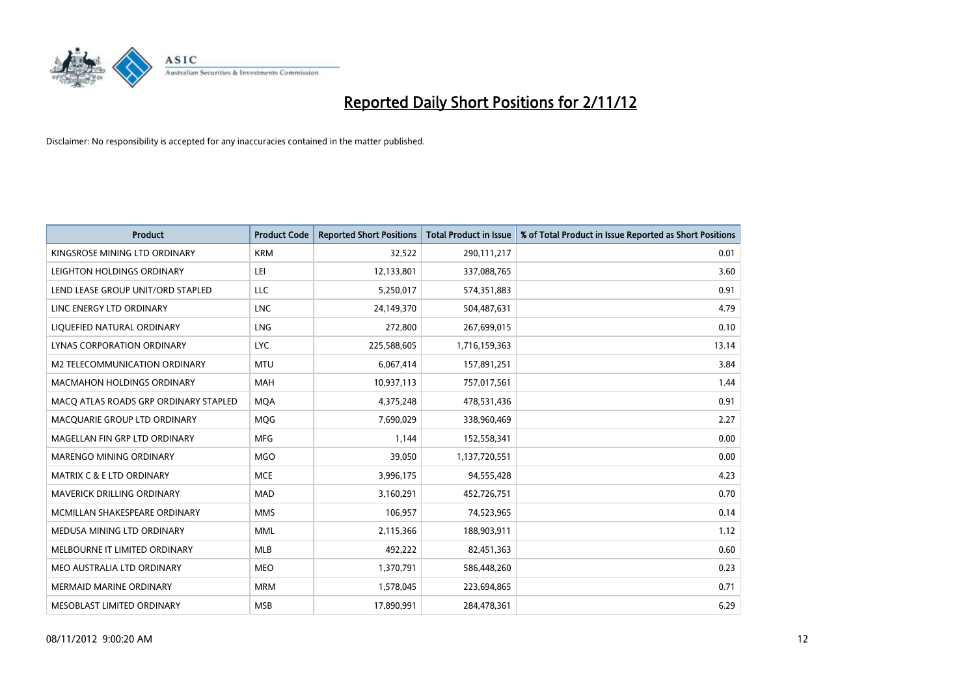

| <b>Product</b>                        | <b>Product Code</b> | <b>Reported Short Positions</b> | <b>Total Product in Issue</b> | % of Total Product in Issue Reported as Short Positions |
|---------------------------------------|---------------------|---------------------------------|-------------------------------|---------------------------------------------------------|
| KINGSROSE MINING LTD ORDINARY         | <b>KRM</b>          | 32,522                          | 290,111,217                   | 0.01                                                    |
| LEIGHTON HOLDINGS ORDINARY            | LEI                 | 12,133,801                      | 337,088,765                   | 3.60                                                    |
| LEND LEASE GROUP UNIT/ORD STAPLED     | LLC                 | 5,250,017                       | 574,351,883                   | 0.91                                                    |
| LINC ENERGY LTD ORDINARY              | <b>LNC</b>          | 24,149,370                      | 504,487,631                   | 4.79                                                    |
| LIQUEFIED NATURAL ORDINARY            | <b>LNG</b>          | 272,800                         | 267,699,015                   | 0.10                                                    |
| LYNAS CORPORATION ORDINARY            | <b>LYC</b>          | 225,588,605                     | 1,716,159,363                 | 13.14                                                   |
| M2 TELECOMMUNICATION ORDINARY         | <b>MTU</b>          | 6,067,414                       | 157,891,251                   | 3.84                                                    |
| MACMAHON HOLDINGS ORDINARY            | <b>MAH</b>          | 10,937,113                      | 757,017,561                   | 1.44                                                    |
| MACO ATLAS ROADS GRP ORDINARY STAPLED | <b>MOA</b>          | 4,375,248                       | 478,531,436                   | 0.91                                                    |
| MACQUARIE GROUP LTD ORDINARY          | <b>MOG</b>          | 7,690,029                       | 338,960,469                   | 2.27                                                    |
| MAGELLAN FIN GRP LTD ORDINARY         | <b>MFG</b>          | 1,144                           | 152,558,341                   | 0.00                                                    |
| <b>MARENGO MINING ORDINARY</b>        | <b>MGO</b>          | 39,050                          | 1,137,720,551                 | 0.00                                                    |
| MATRIX C & E LTD ORDINARY             | <b>MCE</b>          | 3,996,175                       | 94,555,428                    | 4.23                                                    |
| MAVERICK DRILLING ORDINARY            | <b>MAD</b>          | 3,160,291                       | 452,726,751                   | 0.70                                                    |
| MCMILLAN SHAKESPEARE ORDINARY         | <b>MMS</b>          | 106,957                         | 74,523,965                    | 0.14                                                    |
| MEDUSA MINING LTD ORDINARY            | <b>MML</b>          | 2,115,366                       | 188,903,911                   | 1.12                                                    |
| MELBOURNE IT LIMITED ORDINARY         | <b>MLB</b>          | 492,222                         | 82,451,363                    | 0.60                                                    |
| MEO AUSTRALIA LTD ORDINARY            | <b>MEO</b>          | 1,370,791                       | 586,448,260                   | 0.23                                                    |
| <b>MERMAID MARINE ORDINARY</b>        | <b>MRM</b>          | 1,578,045                       | 223,694,865                   | 0.71                                                    |
| MESOBLAST LIMITED ORDINARY            | <b>MSB</b>          | 17,890,991                      | 284,478,361                   | 6.29                                                    |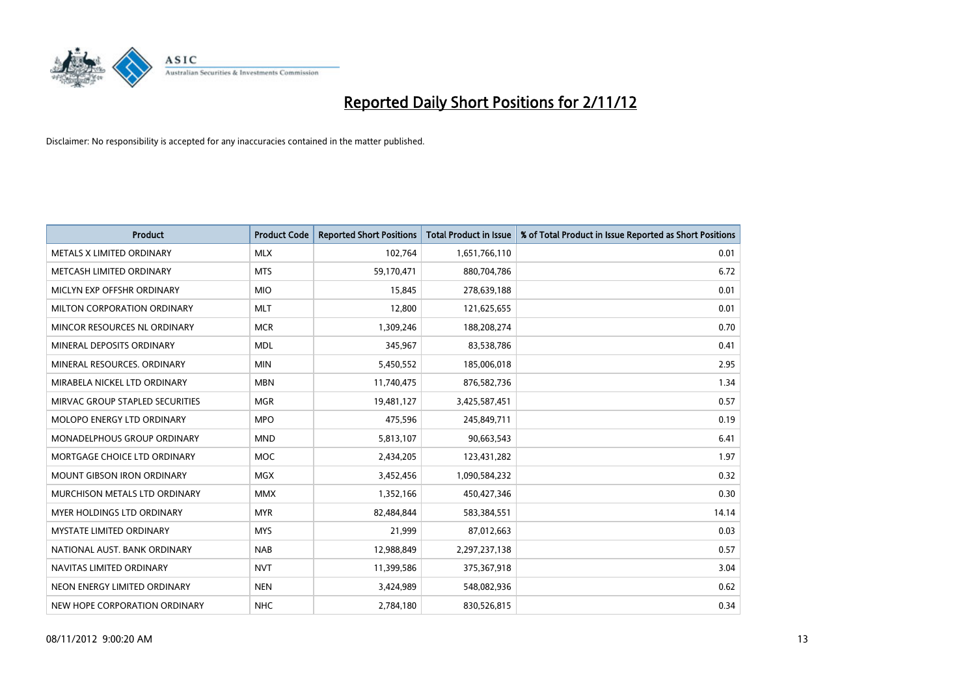

| <b>Product</b>                       | <b>Product Code</b> | <b>Reported Short Positions</b> | <b>Total Product in Issue</b> | % of Total Product in Issue Reported as Short Positions |
|--------------------------------------|---------------------|---------------------------------|-------------------------------|---------------------------------------------------------|
| METALS X LIMITED ORDINARY            | <b>MLX</b>          | 102,764                         | 1,651,766,110                 | 0.01                                                    |
| METCASH LIMITED ORDINARY             | <b>MTS</b>          | 59,170,471                      | 880,704,786                   | 6.72                                                    |
| MICLYN EXP OFFSHR ORDINARY           | <b>MIO</b>          | 15,845                          | 278,639,188                   | 0.01                                                    |
| MILTON CORPORATION ORDINARY          | <b>MLT</b>          | 12,800                          | 121,625,655                   | 0.01                                                    |
| MINCOR RESOURCES NL ORDINARY         | <b>MCR</b>          | 1,309,246                       | 188,208,274                   | 0.70                                                    |
| MINERAL DEPOSITS ORDINARY            | <b>MDL</b>          | 345,967                         | 83,538,786                    | 0.41                                                    |
| MINERAL RESOURCES, ORDINARY          | <b>MIN</b>          | 5,450,552                       | 185,006,018                   | 2.95                                                    |
| MIRABELA NICKEL LTD ORDINARY         | <b>MBN</b>          | 11,740,475                      | 876,582,736                   | 1.34                                                    |
| MIRVAC GROUP STAPLED SECURITIES      | <b>MGR</b>          | 19,481,127                      | 3,425,587,451                 | 0.57                                                    |
| MOLOPO ENERGY LTD ORDINARY           | <b>MPO</b>          | 475,596                         | 245,849,711                   | 0.19                                                    |
| <b>MONADELPHOUS GROUP ORDINARY</b>   | <b>MND</b>          | 5,813,107                       | 90,663,543                    | 6.41                                                    |
| MORTGAGE CHOICE LTD ORDINARY         | MOC                 | 2,434,205                       | 123,431,282                   | 1.97                                                    |
| <b>MOUNT GIBSON IRON ORDINARY</b>    | <b>MGX</b>          | 3,452,456                       | 1,090,584,232                 | 0.32                                                    |
| <b>MURCHISON METALS LTD ORDINARY</b> | <b>MMX</b>          | 1,352,166                       | 450,427,346                   | 0.30                                                    |
| <b>MYER HOLDINGS LTD ORDINARY</b>    | <b>MYR</b>          | 82,484,844                      | 583,384,551                   | 14.14                                                   |
| <b>MYSTATE LIMITED ORDINARY</b>      | <b>MYS</b>          | 21,999                          | 87,012,663                    | 0.03                                                    |
| NATIONAL AUST, BANK ORDINARY         | <b>NAB</b>          | 12,988,849                      | 2,297,237,138                 | 0.57                                                    |
| NAVITAS LIMITED ORDINARY             | <b>NVT</b>          | 11,399,586                      | 375,367,918                   | 3.04                                                    |
| NEON ENERGY LIMITED ORDINARY         | <b>NEN</b>          | 3,424,989                       | 548,082,936                   | 0.62                                                    |
| NEW HOPE CORPORATION ORDINARY        | <b>NHC</b>          | 2,784,180                       | 830,526,815                   | 0.34                                                    |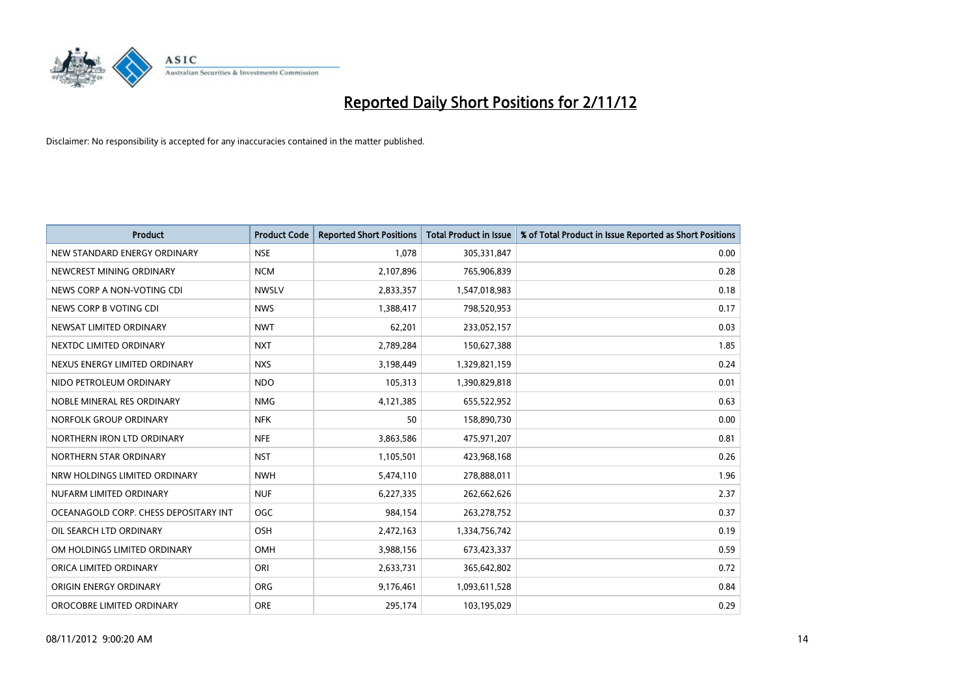

| <b>Product</b>                        | <b>Product Code</b> | <b>Reported Short Positions</b> | <b>Total Product in Issue</b> | % of Total Product in Issue Reported as Short Positions |
|---------------------------------------|---------------------|---------------------------------|-------------------------------|---------------------------------------------------------|
| NEW STANDARD ENERGY ORDINARY          | <b>NSE</b>          | 1.078                           | 305,331,847                   | 0.00                                                    |
| NEWCREST MINING ORDINARY              | <b>NCM</b>          | 2,107,896                       | 765,906,839                   | 0.28                                                    |
| NEWS CORP A NON-VOTING CDI            | <b>NWSLV</b>        | 2,833,357                       | 1,547,018,983                 | 0.18                                                    |
| NEWS CORP B VOTING CDI                | <b>NWS</b>          | 1,388,417                       | 798,520,953                   | 0.17                                                    |
| NEWSAT LIMITED ORDINARY               | <b>NWT</b>          | 62,201                          | 233,052,157                   | 0.03                                                    |
| NEXTDC LIMITED ORDINARY               | <b>NXT</b>          | 2,789,284                       | 150,627,388                   | 1.85                                                    |
| NEXUS ENERGY LIMITED ORDINARY         | <b>NXS</b>          | 3,198,449                       | 1,329,821,159                 | 0.24                                                    |
| NIDO PETROLEUM ORDINARY               | <b>NDO</b>          | 105,313                         | 1,390,829,818                 | 0.01                                                    |
| NOBLE MINERAL RES ORDINARY            | <b>NMG</b>          | 4,121,385                       | 655,522,952                   | 0.63                                                    |
| NORFOLK GROUP ORDINARY                | <b>NFK</b>          | 50                              | 158,890,730                   | 0.00                                                    |
| NORTHERN IRON LTD ORDINARY            | <b>NFE</b>          | 3,863,586                       | 475,971,207                   | 0.81                                                    |
| NORTHERN STAR ORDINARY                | <b>NST</b>          | 1,105,501                       | 423,968,168                   | 0.26                                                    |
| NRW HOLDINGS LIMITED ORDINARY         | <b>NWH</b>          | 5,474,110                       | 278,888,011                   | 1.96                                                    |
| NUFARM LIMITED ORDINARY               | <b>NUF</b>          | 6,227,335                       | 262,662,626                   | 2.37                                                    |
| OCEANAGOLD CORP. CHESS DEPOSITARY INT | <b>OGC</b>          | 984,154                         | 263,278,752                   | 0.37                                                    |
| OIL SEARCH LTD ORDINARY               | OSH                 | 2,472,163                       | 1,334,756,742                 | 0.19                                                    |
| OM HOLDINGS LIMITED ORDINARY          | OMH                 | 3,988,156                       | 673,423,337                   | 0.59                                                    |
| ORICA LIMITED ORDINARY                | ORI                 | 2,633,731                       | 365,642,802                   | 0.72                                                    |
| ORIGIN ENERGY ORDINARY                | <b>ORG</b>          | 9,176,461                       | 1,093,611,528                 | 0.84                                                    |
| OROCOBRE LIMITED ORDINARY             | <b>ORE</b>          | 295,174                         | 103,195,029                   | 0.29                                                    |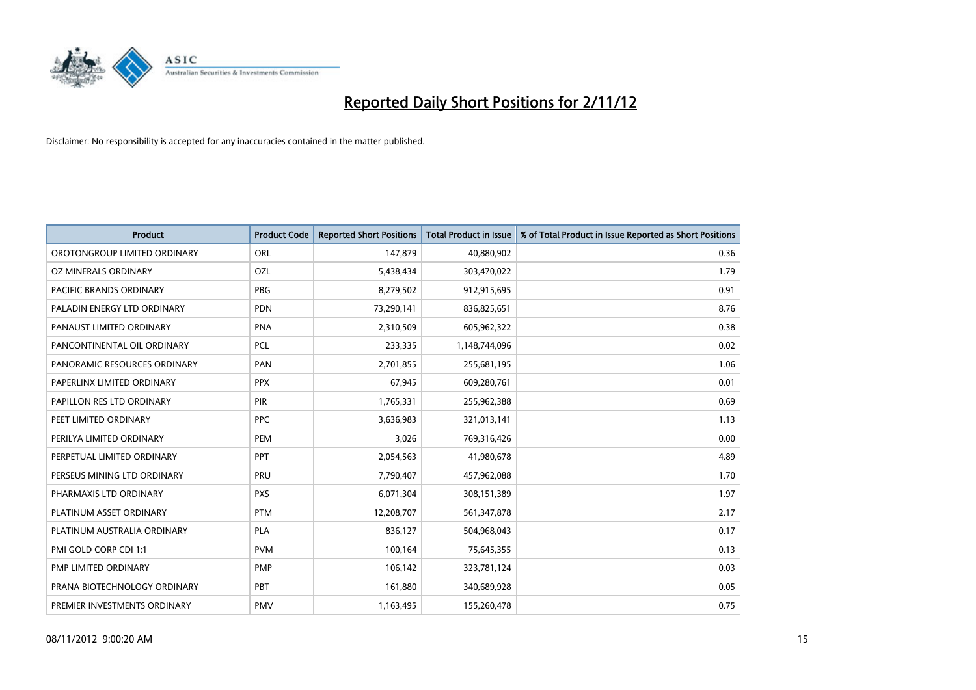

| <b>Product</b>               | <b>Product Code</b> | <b>Reported Short Positions</b> | <b>Total Product in Issue</b> | % of Total Product in Issue Reported as Short Positions |
|------------------------------|---------------------|---------------------------------|-------------------------------|---------------------------------------------------------|
| OROTONGROUP LIMITED ORDINARY | ORL                 | 147,879                         | 40,880,902                    | 0.36                                                    |
| OZ MINERALS ORDINARY         | OZL                 | 5,438,434                       | 303,470,022                   | 1.79                                                    |
| PACIFIC BRANDS ORDINARY      | PBG                 | 8,279,502                       | 912,915,695                   | 0.91                                                    |
| PALADIN ENERGY LTD ORDINARY  | <b>PDN</b>          | 73,290,141                      | 836,825,651                   | 8.76                                                    |
| PANAUST LIMITED ORDINARY     | <b>PNA</b>          | 2,310,509                       | 605,962,322                   | 0.38                                                    |
| PANCONTINENTAL OIL ORDINARY  | <b>PCL</b>          | 233,335                         | 1,148,744,096                 | 0.02                                                    |
| PANORAMIC RESOURCES ORDINARY | PAN                 | 2,701,855                       | 255,681,195                   | 1.06                                                    |
| PAPERLINX LIMITED ORDINARY   | <b>PPX</b>          | 67,945                          | 609,280,761                   | 0.01                                                    |
| PAPILLON RES LTD ORDINARY    | <b>PIR</b>          | 1,765,331                       | 255,962,388                   | 0.69                                                    |
| PEET LIMITED ORDINARY        | <b>PPC</b>          | 3,636,983                       | 321,013,141                   | 1.13                                                    |
| PERILYA LIMITED ORDINARY     | PEM                 | 3,026                           | 769,316,426                   | 0.00                                                    |
| PERPETUAL LIMITED ORDINARY   | <b>PPT</b>          | 2,054,563                       | 41,980,678                    | 4.89                                                    |
| PERSEUS MINING LTD ORDINARY  | PRU                 | 7,790,407                       | 457,962,088                   | 1.70                                                    |
| PHARMAXIS LTD ORDINARY       | <b>PXS</b>          | 6,071,304                       | 308,151,389                   | 1.97                                                    |
| PLATINUM ASSET ORDINARY      | <b>PTM</b>          | 12,208,707                      | 561,347,878                   | 2.17                                                    |
| PLATINUM AUSTRALIA ORDINARY  | <b>PLA</b>          | 836,127                         | 504,968,043                   | 0.17                                                    |
| PMI GOLD CORP CDI 1:1        | <b>PVM</b>          | 100,164                         | 75,645,355                    | 0.13                                                    |
| PMP LIMITED ORDINARY         | <b>PMP</b>          | 106,142                         | 323,781,124                   | 0.03                                                    |
| PRANA BIOTECHNOLOGY ORDINARY | PBT                 | 161,880                         | 340,689,928                   | 0.05                                                    |
| PREMIER INVESTMENTS ORDINARY | <b>PMV</b>          | 1,163,495                       | 155,260,478                   | 0.75                                                    |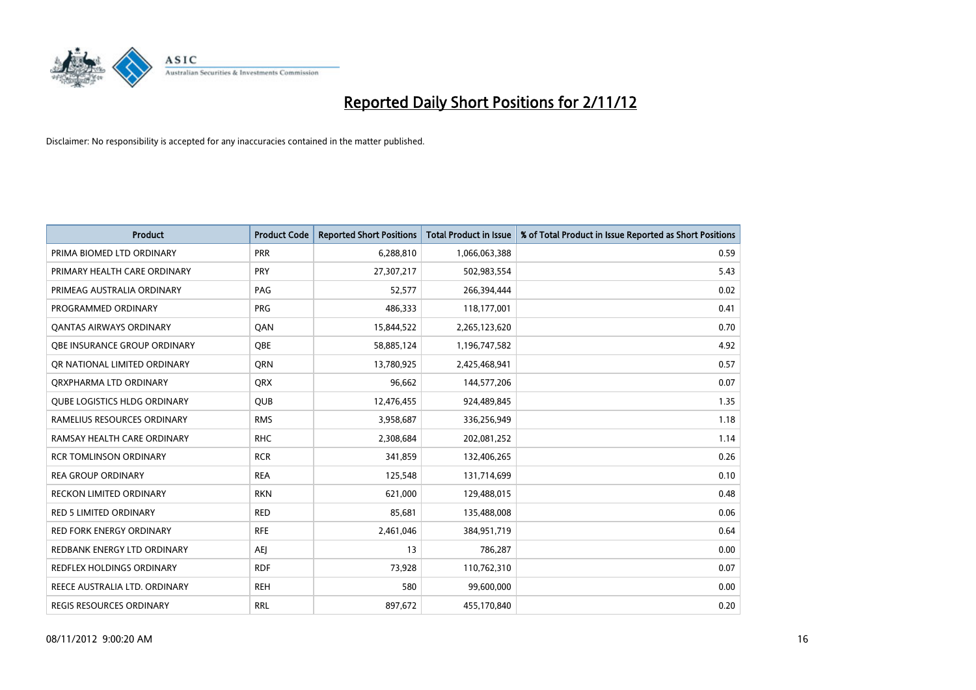

| <b>Product</b>                      | <b>Product Code</b> | <b>Reported Short Positions</b> | <b>Total Product in Issue</b> | % of Total Product in Issue Reported as Short Positions |
|-------------------------------------|---------------------|---------------------------------|-------------------------------|---------------------------------------------------------|
| PRIMA BIOMED LTD ORDINARY           | PRR                 | 6,288,810                       | 1,066,063,388                 | 0.59                                                    |
| PRIMARY HEALTH CARE ORDINARY        | <b>PRY</b>          | 27,307,217                      | 502,983,554                   | 5.43                                                    |
| PRIMEAG AUSTRALIA ORDINARY          | PAG                 | 52,577                          | 266,394,444                   | 0.02                                                    |
| PROGRAMMED ORDINARY                 | <b>PRG</b>          | 486,333                         | 118,177,001                   | 0.41                                                    |
| OANTAS AIRWAYS ORDINARY             | QAN                 | 15,844,522                      | 2,265,123,620                 | 0.70                                                    |
| OBE INSURANCE GROUP ORDINARY        | <b>OBE</b>          | 58,885,124                      | 1,196,747,582                 | 4.92                                                    |
| OR NATIONAL LIMITED ORDINARY        | <b>ORN</b>          | 13,780,925                      | 2,425,468,941                 | 0.57                                                    |
| ORXPHARMA LTD ORDINARY              | <b>ORX</b>          | 96,662                          | 144,577,206                   | 0.07                                                    |
| <b>QUBE LOGISTICS HLDG ORDINARY</b> | <b>QUB</b>          | 12,476,455                      | 924,489,845                   | 1.35                                                    |
| RAMELIUS RESOURCES ORDINARY         | <b>RMS</b>          | 3,958,687                       | 336,256,949                   | 1.18                                                    |
| RAMSAY HEALTH CARE ORDINARY         | <b>RHC</b>          | 2,308,684                       | 202,081,252                   | 1.14                                                    |
| <b>RCR TOMLINSON ORDINARY</b>       | <b>RCR</b>          | 341,859                         | 132,406,265                   | 0.26                                                    |
| <b>REA GROUP ORDINARY</b>           | <b>REA</b>          | 125,548                         | 131,714,699                   | 0.10                                                    |
| <b>RECKON LIMITED ORDINARY</b>      | <b>RKN</b>          | 621,000                         | 129,488,015                   | 0.48                                                    |
| <b>RED 5 LIMITED ORDINARY</b>       | <b>RED</b>          | 85,681                          | 135,488,008                   | 0.06                                                    |
| RED FORK ENERGY ORDINARY            | <b>RFE</b>          | 2,461,046                       | 384,951,719                   | 0.64                                                    |
| REDBANK ENERGY LTD ORDINARY         | <b>AEI</b>          | 13                              | 786,287                       | 0.00                                                    |
| REDFLEX HOLDINGS ORDINARY           | <b>RDF</b>          | 73,928                          | 110,762,310                   | 0.07                                                    |
| REECE AUSTRALIA LTD. ORDINARY       | <b>REH</b>          | 580                             | 99,600,000                    | 0.00                                                    |
| <b>REGIS RESOURCES ORDINARY</b>     | <b>RRL</b>          | 897.672                         | 455,170,840                   | 0.20                                                    |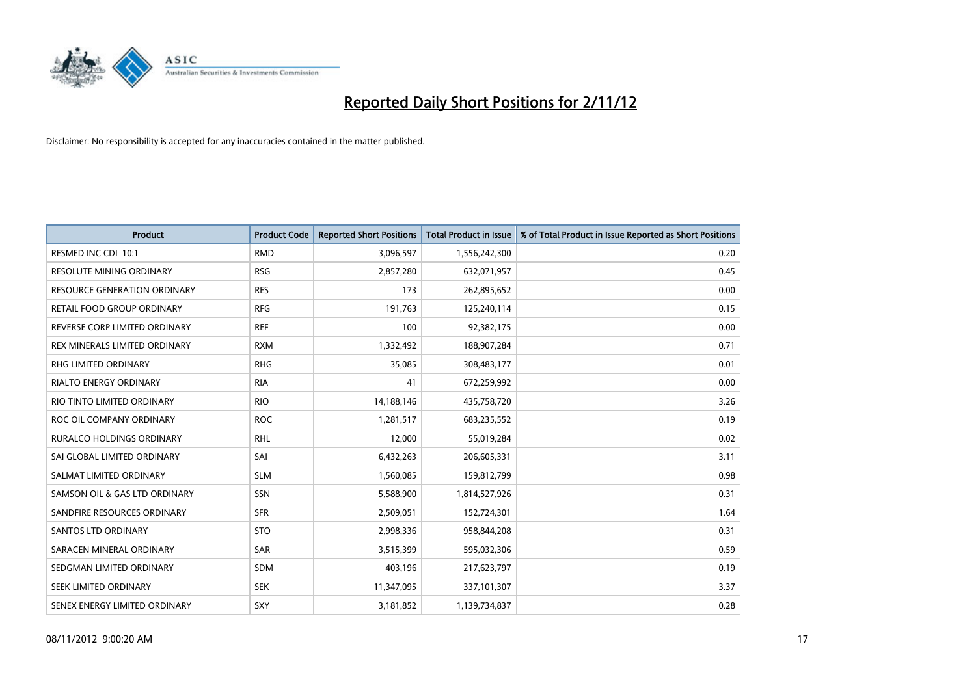

| <b>Product</b>                      | <b>Product Code</b> | <b>Reported Short Positions</b> | <b>Total Product in Issue</b> | % of Total Product in Issue Reported as Short Positions |
|-------------------------------------|---------------------|---------------------------------|-------------------------------|---------------------------------------------------------|
| RESMED INC CDI 10:1                 | <b>RMD</b>          | 3,096,597                       | 1,556,242,300                 | 0.20                                                    |
| <b>RESOLUTE MINING ORDINARY</b>     | <b>RSG</b>          | 2,857,280                       | 632,071,957                   | 0.45                                                    |
| <b>RESOURCE GENERATION ORDINARY</b> | <b>RES</b>          | 173                             | 262,895,652                   | 0.00                                                    |
| RETAIL FOOD GROUP ORDINARY          | <b>RFG</b>          | 191,763                         | 125,240,114                   | 0.15                                                    |
| REVERSE CORP LIMITED ORDINARY       | <b>REF</b>          | 100                             | 92,382,175                    | 0.00                                                    |
| REX MINERALS LIMITED ORDINARY       | <b>RXM</b>          | 1,332,492                       | 188,907,284                   | 0.71                                                    |
| <b>RHG LIMITED ORDINARY</b>         | <b>RHG</b>          | 35,085                          | 308,483,177                   | 0.01                                                    |
| <b>RIALTO ENERGY ORDINARY</b>       | <b>RIA</b>          | 41                              | 672,259,992                   | 0.00                                                    |
| RIO TINTO LIMITED ORDINARY          | <b>RIO</b>          | 14,188,146                      | 435,758,720                   | 3.26                                                    |
| ROC OIL COMPANY ORDINARY            | <b>ROC</b>          | 1,281,517                       | 683,235,552                   | 0.19                                                    |
| <b>RURALCO HOLDINGS ORDINARY</b>    | <b>RHL</b>          | 12,000                          | 55,019,284                    | 0.02                                                    |
| SAI GLOBAL LIMITED ORDINARY         | SAI                 | 6,432,263                       | 206,605,331                   | 3.11                                                    |
| SALMAT LIMITED ORDINARY             | <b>SLM</b>          | 1,560,085                       | 159,812,799                   | 0.98                                                    |
| SAMSON OIL & GAS LTD ORDINARY       | SSN                 | 5,588,900                       | 1,814,527,926                 | 0.31                                                    |
| SANDFIRE RESOURCES ORDINARY         | <b>SFR</b>          | 2,509,051                       | 152,724,301                   | 1.64                                                    |
| <b>SANTOS LTD ORDINARY</b>          | <b>STO</b>          | 2,998,336                       | 958,844,208                   | 0.31                                                    |
| SARACEN MINERAL ORDINARY            | SAR                 | 3,515,399                       | 595,032,306                   | 0.59                                                    |
| SEDGMAN LIMITED ORDINARY            | <b>SDM</b>          | 403,196                         | 217,623,797                   | 0.19                                                    |
| SEEK LIMITED ORDINARY               | <b>SEK</b>          | 11,347,095                      | 337,101,307                   | 3.37                                                    |
| SENEX ENERGY LIMITED ORDINARY       | <b>SXY</b>          | 3,181,852                       | 1,139,734,837                 | 0.28                                                    |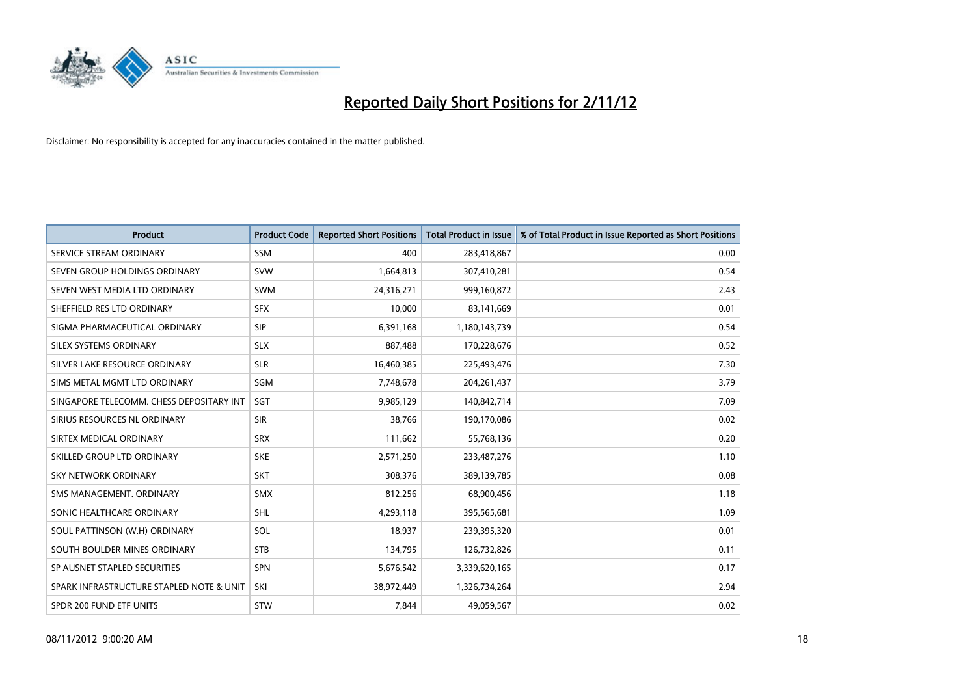

| <b>Product</b>                           | <b>Product Code</b> | <b>Reported Short Positions</b> | <b>Total Product in Issue</b> | % of Total Product in Issue Reported as Short Positions |
|------------------------------------------|---------------------|---------------------------------|-------------------------------|---------------------------------------------------------|
| SERVICE STREAM ORDINARY                  | <b>SSM</b>          | 400                             | 283,418,867                   | 0.00                                                    |
| SEVEN GROUP HOLDINGS ORDINARY            | <b>SVW</b>          | 1,664,813                       | 307,410,281                   | 0.54                                                    |
| SEVEN WEST MEDIA LTD ORDINARY            | <b>SWM</b>          | 24,316,271                      | 999,160,872                   | 2.43                                                    |
| SHEFFIELD RES LTD ORDINARY               | <b>SFX</b>          | 10,000                          | 83,141,669                    | 0.01                                                    |
| SIGMA PHARMACEUTICAL ORDINARY            | <b>SIP</b>          | 6,391,168                       | 1,180,143,739                 | 0.54                                                    |
| SILEX SYSTEMS ORDINARY                   | <b>SLX</b>          | 887,488                         | 170,228,676                   | 0.52                                                    |
| SILVER LAKE RESOURCE ORDINARY            | <b>SLR</b>          | 16,460,385                      | 225,493,476                   | 7.30                                                    |
| SIMS METAL MGMT LTD ORDINARY             | SGM                 | 7,748,678                       | 204, 261, 437                 | 3.79                                                    |
| SINGAPORE TELECOMM. CHESS DEPOSITARY INT | <b>SGT</b>          | 9,985,129                       | 140,842,714                   | 7.09                                                    |
| SIRIUS RESOURCES NL ORDINARY             | <b>SIR</b>          | 38,766                          | 190,170,086                   | 0.02                                                    |
| SIRTEX MEDICAL ORDINARY                  | <b>SRX</b>          | 111,662                         | 55,768,136                    | 0.20                                                    |
| SKILLED GROUP LTD ORDINARY               | <b>SKE</b>          | 2,571,250                       | 233,487,276                   | 1.10                                                    |
| <b>SKY NETWORK ORDINARY</b>              | <b>SKT</b>          | 308,376                         | 389,139,785                   | 0.08                                                    |
| SMS MANAGEMENT, ORDINARY                 | <b>SMX</b>          | 812,256                         | 68,900,456                    | 1.18                                                    |
| SONIC HEALTHCARE ORDINARY                | <b>SHL</b>          | 4,293,118                       | 395,565,681                   | 1.09                                                    |
| SOUL PATTINSON (W.H) ORDINARY            | SOL                 | 18,937                          | 239,395,320                   | 0.01                                                    |
| SOUTH BOULDER MINES ORDINARY             | <b>STB</b>          | 134,795                         | 126,732,826                   | 0.11                                                    |
| SP AUSNET STAPLED SECURITIES             | <b>SPN</b>          | 5,676,542                       | 3,339,620,165                 | 0.17                                                    |
| SPARK INFRASTRUCTURE STAPLED NOTE & UNIT | SKI                 | 38,972,449                      | 1,326,734,264                 | 2.94                                                    |
| SPDR 200 FUND ETF UNITS                  | <b>STW</b>          | 7,844                           | 49,059,567                    | 0.02                                                    |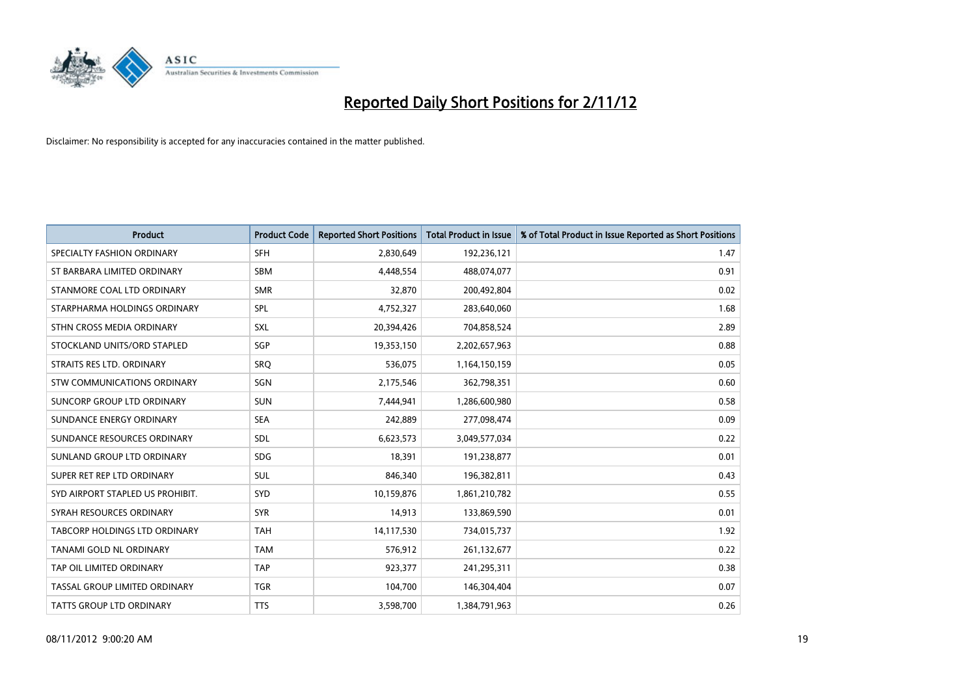

| <b>Product</b>                   | <b>Product Code</b> | <b>Reported Short Positions</b> | <b>Total Product in Issue</b> | % of Total Product in Issue Reported as Short Positions |
|----------------------------------|---------------------|---------------------------------|-------------------------------|---------------------------------------------------------|
| SPECIALTY FASHION ORDINARY       | <b>SFH</b>          | 2,830,649                       | 192,236,121                   | 1.47                                                    |
| ST BARBARA LIMITED ORDINARY      | <b>SBM</b>          | 4,448,554                       | 488,074,077                   | 0.91                                                    |
| STANMORE COAL LTD ORDINARY       | <b>SMR</b>          | 32,870                          | 200,492,804                   | 0.02                                                    |
| STARPHARMA HOLDINGS ORDINARY     | <b>SPL</b>          | 4,752,327                       | 283,640,060                   | 1.68                                                    |
| STHN CROSS MEDIA ORDINARY        | <b>SXL</b>          | 20,394,426                      | 704,858,524                   | 2.89                                                    |
| STOCKLAND UNITS/ORD STAPLED      | SGP                 | 19,353,150                      | 2,202,657,963                 | 0.88                                                    |
| STRAITS RES LTD. ORDINARY        | SRO                 | 536.075                         | 1,164,150,159                 | 0.05                                                    |
| STW COMMUNICATIONS ORDINARY      | SGN                 | 2,175,546                       | 362,798,351                   | 0.60                                                    |
| SUNCORP GROUP LTD ORDINARY       | <b>SUN</b>          | 7,444,941                       | 1,286,600,980                 | 0.58                                                    |
| SUNDANCE ENERGY ORDINARY         | <b>SEA</b>          | 242,889                         | 277,098,474                   | 0.09                                                    |
| SUNDANCE RESOURCES ORDINARY      | <b>SDL</b>          | 6,623,573                       | 3,049,577,034                 | 0.22                                                    |
| SUNLAND GROUP LTD ORDINARY       | <b>SDG</b>          | 18,391                          | 191,238,877                   | 0.01                                                    |
| SUPER RET REP LTD ORDINARY       | <b>SUL</b>          | 846,340                         | 196,382,811                   | 0.43                                                    |
| SYD AIRPORT STAPLED US PROHIBIT. | <b>SYD</b>          | 10,159,876                      | 1,861,210,782                 | 0.55                                                    |
| SYRAH RESOURCES ORDINARY         | <b>SYR</b>          | 14,913                          | 133,869,590                   | 0.01                                                    |
| TABCORP HOLDINGS LTD ORDINARY    | <b>TAH</b>          | 14,117,530                      | 734,015,737                   | 1.92                                                    |
| TANAMI GOLD NL ORDINARY          | <b>TAM</b>          | 576,912                         | 261,132,677                   | 0.22                                                    |
| TAP OIL LIMITED ORDINARY         | <b>TAP</b>          | 923,377                         | 241,295,311                   | 0.38                                                    |
| TASSAL GROUP LIMITED ORDINARY    | <b>TGR</b>          | 104,700                         | 146,304,404                   | 0.07                                                    |
| <b>TATTS GROUP LTD ORDINARY</b>  | <b>TTS</b>          | 3,598,700                       | 1,384,791,963                 | 0.26                                                    |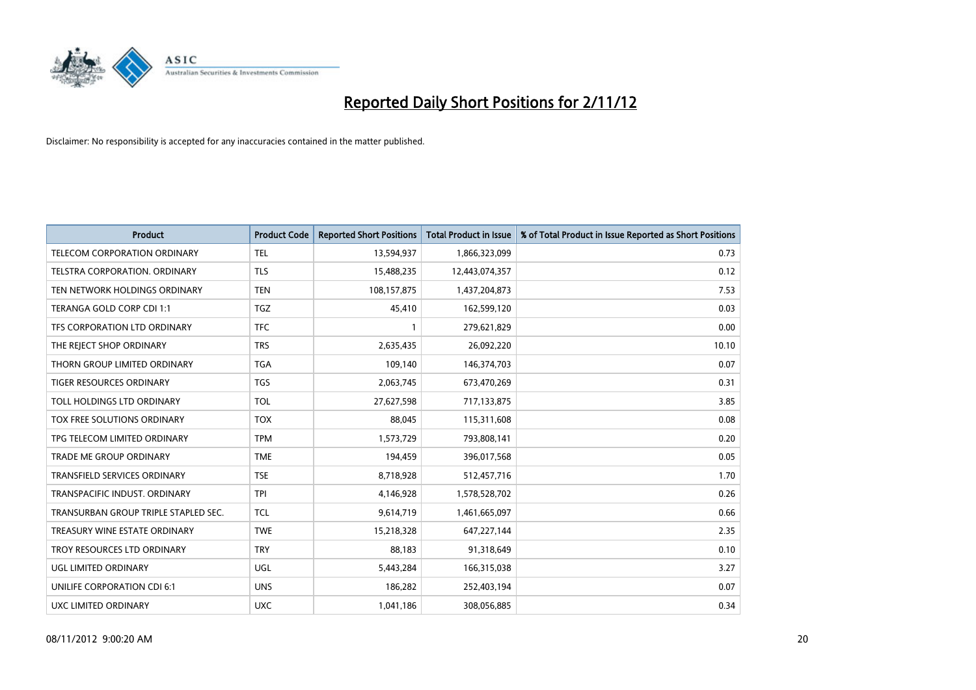

| <b>Product</b>                       | <b>Product Code</b> | <b>Reported Short Positions</b> | <b>Total Product in Issue</b> | % of Total Product in Issue Reported as Short Positions |
|--------------------------------------|---------------------|---------------------------------|-------------------------------|---------------------------------------------------------|
| <b>TELECOM CORPORATION ORDINARY</b>  | <b>TEL</b>          | 13,594,937                      | 1,866,323,099                 | 0.73                                                    |
| TELSTRA CORPORATION. ORDINARY        | <b>TLS</b>          | 15,488,235                      | 12,443,074,357                | 0.12                                                    |
| TEN NETWORK HOLDINGS ORDINARY        | <b>TEN</b>          | 108,157,875                     | 1,437,204,873                 | 7.53                                                    |
| TERANGA GOLD CORP CDI 1:1            | <b>TGZ</b>          | 45,410                          | 162,599,120                   | 0.03                                                    |
| TFS CORPORATION LTD ORDINARY         | <b>TFC</b>          |                                 | 279,621,829                   | 0.00                                                    |
| THE REJECT SHOP ORDINARY             | <b>TRS</b>          | 2,635,435                       | 26,092,220                    | 10.10                                                   |
| THORN GROUP LIMITED ORDINARY         | <b>TGA</b>          | 109,140                         | 146,374,703                   | 0.07                                                    |
| TIGER RESOURCES ORDINARY             | <b>TGS</b>          | 2,063,745                       | 673,470,269                   | 0.31                                                    |
| TOLL HOLDINGS LTD ORDINARY           | <b>TOL</b>          | 27,627,598                      | 717,133,875                   | 3.85                                                    |
| TOX FREE SOLUTIONS ORDINARY          | <b>TOX</b>          | 88,045                          | 115,311,608                   | 0.08                                                    |
| TPG TELECOM LIMITED ORDINARY         | <b>TPM</b>          | 1,573,729                       | 793,808,141                   | 0.20                                                    |
| TRADE ME GROUP ORDINARY              | <b>TME</b>          | 194,459                         | 396,017,568                   | 0.05                                                    |
| TRANSFIELD SERVICES ORDINARY         | <b>TSE</b>          | 8,718,928                       | 512,457,716                   | 1.70                                                    |
| TRANSPACIFIC INDUST, ORDINARY        | <b>TPI</b>          | 4,146,928                       | 1,578,528,702                 | 0.26                                                    |
| TRANSURBAN GROUP TRIPLE STAPLED SEC. | <b>TCL</b>          | 9,614,719                       | 1,461,665,097                 | 0.66                                                    |
| TREASURY WINE ESTATE ORDINARY        | <b>TWE</b>          | 15,218,328                      | 647,227,144                   | 2.35                                                    |
| TROY RESOURCES LTD ORDINARY          | <b>TRY</b>          | 88,183                          | 91,318,649                    | 0.10                                                    |
| UGL LIMITED ORDINARY                 | UGL                 | 5,443,284                       | 166,315,038                   | 3.27                                                    |
| UNILIFE CORPORATION CDI 6:1          | <b>UNS</b>          | 186,282                         | 252,403,194                   | 0.07                                                    |
| UXC LIMITED ORDINARY                 | <b>UXC</b>          | 1,041,186                       | 308,056,885                   | 0.34                                                    |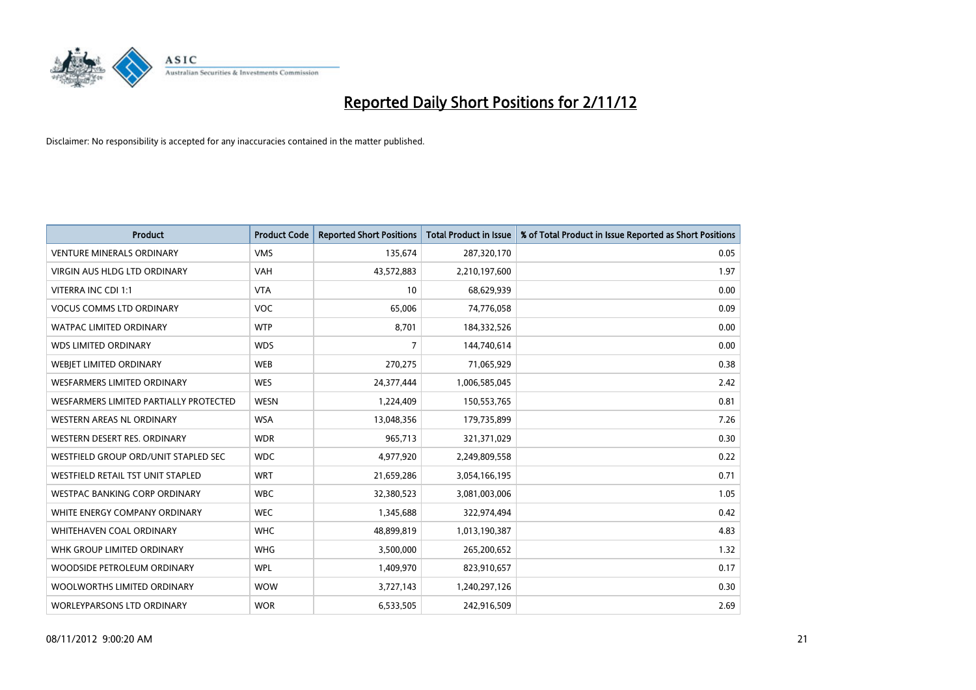

| <b>Product</b>                         | <b>Product Code</b> | <b>Reported Short Positions</b> | <b>Total Product in Issue</b> | % of Total Product in Issue Reported as Short Positions |
|----------------------------------------|---------------------|---------------------------------|-------------------------------|---------------------------------------------------------|
| <b>VENTURE MINERALS ORDINARY</b>       | <b>VMS</b>          | 135,674                         | 287,320,170                   | 0.05                                                    |
| <b>VIRGIN AUS HLDG LTD ORDINARY</b>    | <b>VAH</b>          | 43,572,883                      | 2,210,197,600                 | 1.97                                                    |
| VITERRA INC CDI 1:1                    | <b>VTA</b>          | 10                              | 68,629,939                    | 0.00                                                    |
| <b>VOCUS COMMS LTD ORDINARY</b>        | <b>VOC</b>          | 65,006                          | 74,776,058                    | 0.09                                                    |
| <b>WATPAC LIMITED ORDINARY</b>         | <b>WTP</b>          | 8.701                           | 184,332,526                   | 0.00                                                    |
| <b>WDS LIMITED ORDINARY</b>            | <b>WDS</b>          | 7                               | 144,740,614                   | 0.00                                                    |
| WEBIET LIMITED ORDINARY                | <b>WEB</b>          | 270,275                         | 71,065,929                    | 0.38                                                    |
| <b>WESFARMERS LIMITED ORDINARY</b>     | <b>WES</b>          | 24,377,444                      | 1,006,585,045                 | 2.42                                                    |
| WESFARMERS LIMITED PARTIALLY PROTECTED | <b>WESN</b>         | 1,224,409                       | 150,553,765                   | 0.81                                                    |
| WESTERN AREAS NL ORDINARY              | <b>WSA</b>          | 13,048,356                      | 179,735,899                   | 7.26                                                    |
| WESTERN DESERT RES. ORDINARY           | <b>WDR</b>          | 965,713                         | 321,371,029                   | 0.30                                                    |
| WESTFIELD GROUP ORD/UNIT STAPLED SEC   | <b>WDC</b>          | 4,977,920                       | 2,249,809,558                 | 0.22                                                    |
| WESTFIELD RETAIL TST UNIT STAPLED      | <b>WRT</b>          | 21,659,286                      | 3,054,166,195                 | 0.71                                                    |
| <b>WESTPAC BANKING CORP ORDINARY</b>   | <b>WBC</b>          | 32,380,523                      | 3,081,003,006                 | 1.05                                                    |
| WHITE ENERGY COMPANY ORDINARY          | <b>WEC</b>          | 1,345,688                       | 322,974,494                   | 0.42                                                    |
| WHITEHAVEN COAL ORDINARY               | <b>WHC</b>          | 48,899,819                      | 1,013,190,387                 | 4.83                                                    |
| WHK GROUP LIMITED ORDINARY             | <b>WHG</b>          | 3,500,000                       | 265,200,652                   | 1.32                                                    |
| WOODSIDE PETROLEUM ORDINARY            | <b>WPL</b>          | 1,409,970                       | 823,910,657                   | 0.17                                                    |
| WOOLWORTHS LIMITED ORDINARY            | <b>WOW</b>          | 3,727,143                       | 1,240,297,126                 | 0.30                                                    |
| <b>WORLEYPARSONS LTD ORDINARY</b>      | <b>WOR</b>          | 6,533,505                       | 242,916,509                   | 2.69                                                    |